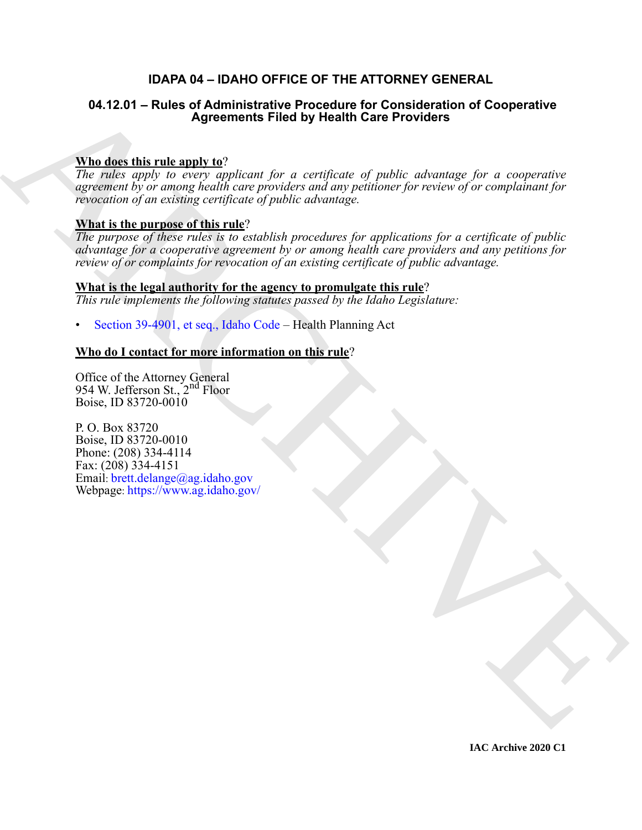# **IDAPA 04 – IDAHO OFFICE OF THE ATTORNEY GENERAL**

# **04.12.01 – Rules of Administrative Procedure for Consideration of Cooperative Agreements Filed by Health Care Providers**

# **Who does this rule apply to**?

*The rules apply to every applicant for a certificate of public advantage for a cooperative agreement by or among health care providers and any petitioner for review of or complainant for revocation of an existing certificate of public advantage.*

# **What is the purpose of this rule**?

04.12.01 – Rules of Administrative Procedure for Consideration of Cooperative<br>
The describes the materials and v  $\Omega^2$ <br>
The reaction and v  $\Omega^2$ <br>
The reaction and v  $\Omega^2$ <br>  $\Omega^2$  and  $\Omega^2$  and  $\Omega^2$  and  $\Omega^2$ <br>  $\Omega^2$ *The purpose of these rules is to establish procedures for applications for a certificate of public advantage for a cooperative agreement by or among health care providers and any petitions for review of or complaints for revocation of an existing certificate of public advantage.*

# **What is the legal authority for the agency to promulgate this rule**?

*This rule implements the following statutes passed by the Idaho Legislature:*

• Section 39-4901, et seq., Idaho Code – Health Planning Act

# **Who do I contact for more information on this rule**?

Office of the Attorney General 954 W. Jefferson St., 2<sup>nd</sup> Floor Boise, ID 83720-0010

P. O. Box 83720 Boise, ID 83720-0010 Phone: (208) 334-4114 Fax: (208) 334-4151 Email: brett.delange@ag.idaho.gov Webpage: https://www.ag.idaho.gov/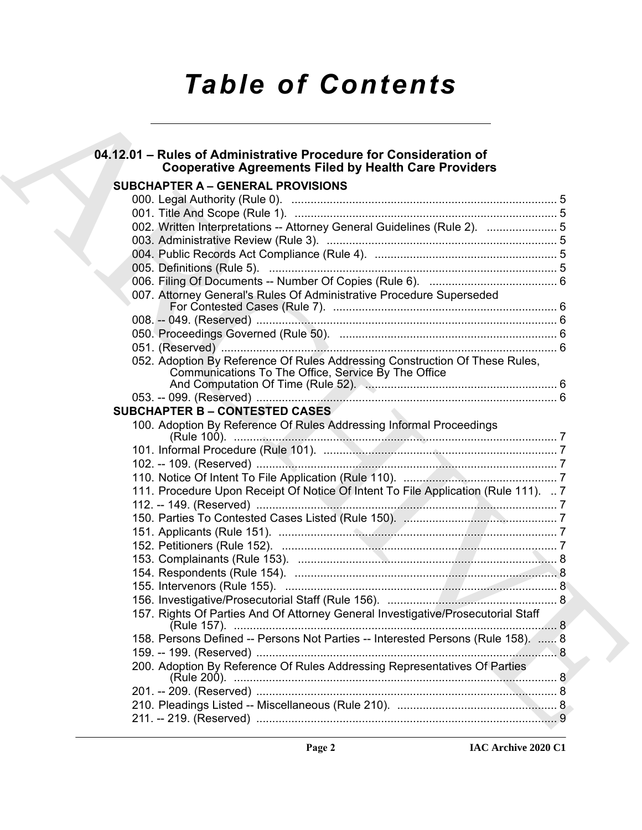# *Table of Contents*

| 04.12.01 - Rules of Administrative Procedure for Consideration of<br><b>Cooperative Agreements Filed by Health Care Providers</b>  |  |
|------------------------------------------------------------------------------------------------------------------------------------|--|
| <b>SUBCHAPTER A - GENERAL PROVISIONS</b>                                                                                           |  |
|                                                                                                                                    |  |
|                                                                                                                                    |  |
| 002. Written Interpretations -- Attorney General Guidelines (Rule 2).  5                                                           |  |
|                                                                                                                                    |  |
|                                                                                                                                    |  |
|                                                                                                                                    |  |
|                                                                                                                                    |  |
| 007. Attorney General's Rules Of Administrative Procedure Superseded                                                               |  |
|                                                                                                                                    |  |
|                                                                                                                                    |  |
|                                                                                                                                    |  |
| 052. Adoption By Reference Of Rules Addressing Construction Of These Rules,<br>Communications To The Office, Service By The Office |  |
|                                                                                                                                    |  |
|                                                                                                                                    |  |
| <b>SUBCHAPTER B - CONTESTED CASES</b>                                                                                              |  |
| 100. Adoption By Reference Of Rules Addressing Informal Proceedings                                                                |  |
|                                                                                                                                    |  |
|                                                                                                                                    |  |
|                                                                                                                                    |  |
| 111. Procedure Upon Receipt Of Notice Of Intent To File Application (Rule 111).  7                                                 |  |
|                                                                                                                                    |  |
|                                                                                                                                    |  |
|                                                                                                                                    |  |
|                                                                                                                                    |  |
|                                                                                                                                    |  |
|                                                                                                                                    |  |
|                                                                                                                                    |  |
|                                                                                                                                    |  |
| 157. Rights Of Parties And Of Attorney General Investigative/Prosecutorial Staff                                                   |  |
| 158. Persons Defined -- Persons Not Parties -- Interested Persons (Rule 158).  8                                                   |  |
|                                                                                                                                    |  |
| 200. Adoption By Reference Of Rules Addressing Representatives Of Parties                                                          |  |
|                                                                                                                                    |  |
|                                                                                                                                    |  |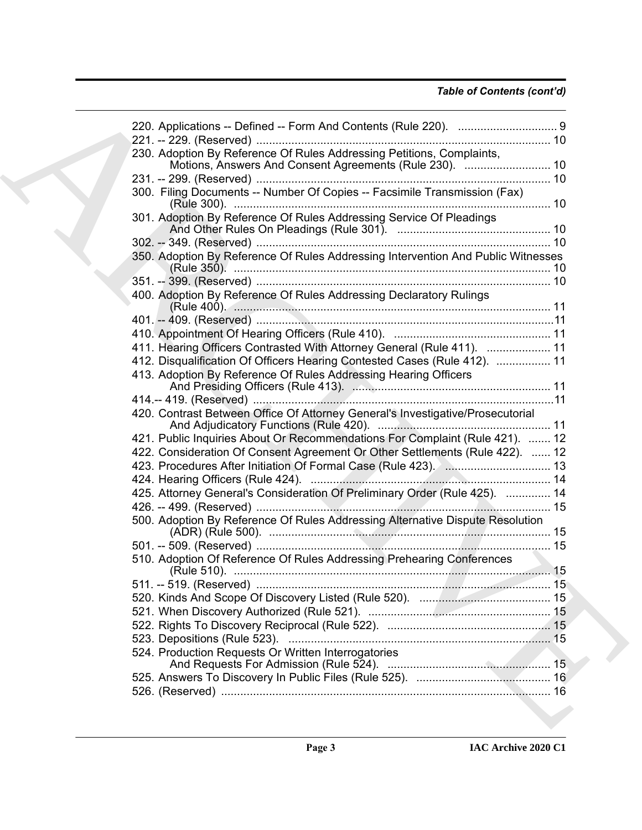# *Table of Contents (cont'd)*

| 230. Adoption By Reference Of Rules Addressing Petitions, Complaints,                |  |
|--------------------------------------------------------------------------------------|--|
| Motions, Answers And Consent Agreements (Rule 230).  10                              |  |
|                                                                                      |  |
| 300. Filing Documents -- Number Of Copies -- Facsimile Transmission (Fax)            |  |
| 301. Adoption By Reference Of Rules Addressing Service Of Pleadings                  |  |
|                                                                                      |  |
| 350. Adoption By Reference Of Rules Addressing Intervention And Public Witnesses     |  |
|                                                                                      |  |
| 400. Adoption By Reference Of Rules Addressing Declaratory Rulings<br>(Rule 400). 11 |  |
|                                                                                      |  |
|                                                                                      |  |
| 411. Hearing Officers Contrasted With Attorney General (Rule 411).  11               |  |
| 412. Disqualification Of Officers Hearing Contested Cases (Rule 412).  11            |  |
| 413. Adoption By Reference Of Rules Addressing Hearing Officers                      |  |
|                                                                                      |  |
| 420. Contrast Between Office Of Attorney General's Investigative/Prosecutorial       |  |
| 421. Public Inquiries About Or Recommendations For Complaint (Rule 421).  12         |  |
| 422. Consideration Of Consent Agreement Or Other Settlements (Rule 422).  12         |  |
|                                                                                      |  |
|                                                                                      |  |
| 425. Attorney General's Consideration Of Preliminary Order (Rule 425).  14           |  |
|                                                                                      |  |
| 500. Adoption By Reference Of Rules Addressing Alternative Dispute Resolution        |  |
|                                                                                      |  |
| 510. Adoption Of Reference Of Rules Addressing Prehearing Conferences                |  |
|                                                                                      |  |
|                                                                                      |  |
|                                                                                      |  |
|                                                                                      |  |
|                                                                                      |  |
| 524. Production Requests Or Written Interrogatories                                  |  |
|                                                                                      |  |
|                                                                                      |  |
|                                                                                      |  |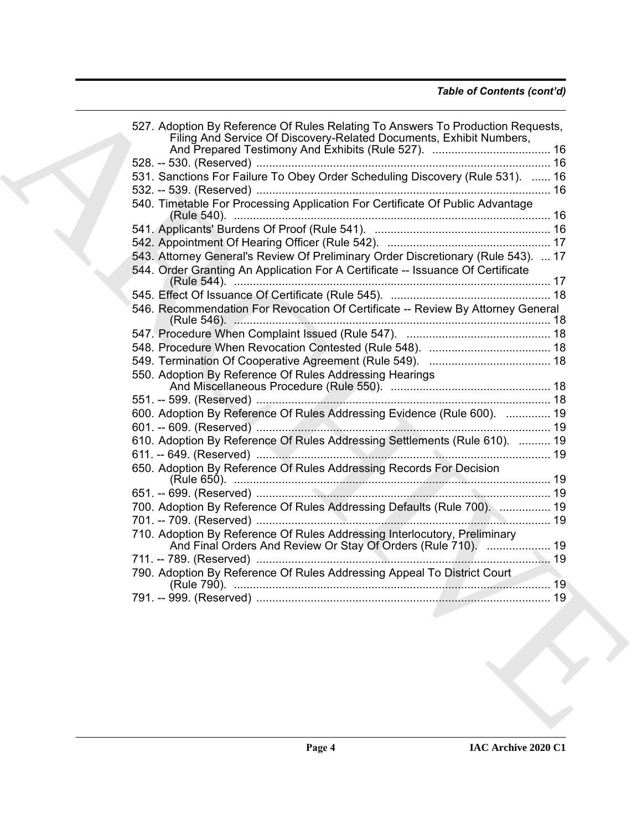|  | Filing And Service Of Discovery-Related Documents, Exhibit Numbers,                                                                        |  |
|--|--------------------------------------------------------------------------------------------------------------------------------------------|--|
|  |                                                                                                                                            |  |
|  | 531. Sanctions For Failure To Obey Order Scheduling Discovery (Rule 531).  16                                                              |  |
|  |                                                                                                                                            |  |
|  | 540. Timetable For Processing Application For Certificate Of Public Advantage                                                              |  |
|  |                                                                                                                                            |  |
|  |                                                                                                                                            |  |
|  | 543. Attorney General's Review Of Preliminary Order Discretionary (Rule 543).  17                                                          |  |
|  | 544. Order Granting An Application For A Certificate -- Issuance Of Certificate                                                            |  |
|  |                                                                                                                                            |  |
|  | 546. Recommendation For Revocation Of Certificate -- Review By Attorney General                                                            |  |
|  |                                                                                                                                            |  |
|  |                                                                                                                                            |  |
|  |                                                                                                                                            |  |
|  |                                                                                                                                            |  |
|  | 550. Adoption By Reference Of Rules Addressing Hearings                                                                                    |  |
|  |                                                                                                                                            |  |
|  |                                                                                                                                            |  |
|  | 600. Adoption By Reference Of Rules Addressing Evidence (Rule 600).  19                                                                    |  |
|  |                                                                                                                                            |  |
|  | 610. Adoption By Reference Of Rules Addressing Settlements (Rule 610).  19                                                                 |  |
|  |                                                                                                                                            |  |
|  | 650. Adoption By Reference Of Rules Addressing Records For Decision                                                                        |  |
|  |                                                                                                                                            |  |
|  |                                                                                                                                            |  |
|  | 700. Adoption By Reference Of Rules Addressing Defaults (Rule 700).  19                                                                    |  |
|  |                                                                                                                                            |  |
|  | 710. Adoption By Reference Of Rules Addressing Interlocutory, Preliminary<br>And Final Orders And Review Or Stay Of Orders (Rule 710).  19 |  |
|  |                                                                                                                                            |  |
|  | 790. Adoption By Reference Of Rules Addressing Appeal To District Court                                                                    |  |
|  |                                                                                                                                            |  |
|  |                                                                                                                                            |  |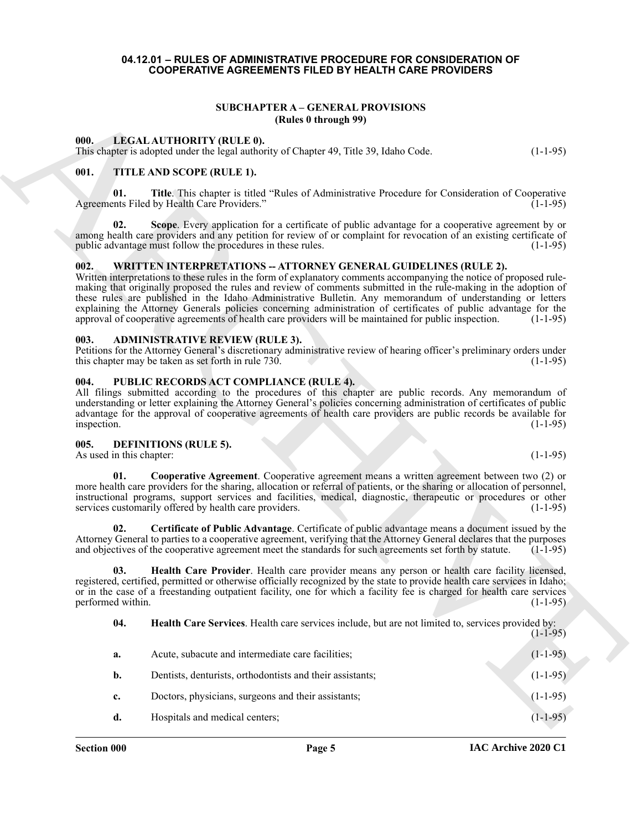#### <span id="page-4-0"></span>**04.12.01 – RULES OF ADMINISTRATIVE PROCEDURE FOR CONSIDERATION OF COOPERATIVE AGREEMENTS FILED BY HEALTH CARE PROVIDERS**

# **SUBCHAPTER A – GENERAL PROVISIONS (Rules 0 through 99)**

#### <span id="page-4-14"></span><span id="page-4-2"></span><span id="page-4-1"></span>**000. LEGAL AUTHORITY (RULE 0).**

# <span id="page-4-16"></span><span id="page-4-3"></span>**001. TITLE AND SCOPE (RULE 1).**

# <span id="page-4-17"></span><span id="page-4-4"></span>**002. WRITTEN INTERPRETATIONS -- ATTORNEY GENERAL GUIDELINES (RULE 2).**

#### <span id="page-4-8"></span><span id="page-4-5"></span>**003. ADMINISTRATIVE REVIEW (RULE 3).**

#### <span id="page-4-15"></span><span id="page-4-6"></span>**004. PUBLIC RECORDS ACT COMPLIANCE (RULE 4).**

#### <span id="page-4-13"></span><span id="page-4-12"></span><span id="page-4-11"></span><span id="page-4-10"></span><span id="page-4-9"></span><span id="page-4-7"></span>**005. DEFINITIONS (RULE 5).**

|                                  | <b>SUBCHAPTER A - GENERAL PROVISIONS</b><br>(Rules 0 through 99)                                                                                                                                                                                                                                                                                                                                                                                                                                                                                                                                                                                              |            |
|----------------------------------|---------------------------------------------------------------------------------------------------------------------------------------------------------------------------------------------------------------------------------------------------------------------------------------------------------------------------------------------------------------------------------------------------------------------------------------------------------------------------------------------------------------------------------------------------------------------------------------------------------------------------------------------------------------|------------|
| 000.                             | <b>LEGAL AUTHORITY (RULE 0).</b><br>This chapter is adopted under the legal authority of Chapter 49, Title 39, Idaho Code.                                                                                                                                                                                                                                                                                                                                                                                                                                                                                                                                    | $(1-1-95)$ |
| 001.                             | TITLE AND SCOPE (RULE 1).                                                                                                                                                                                                                                                                                                                                                                                                                                                                                                                                                                                                                                     |            |
| 01.                              | Title. This chapter is titled "Rules of Administrative Procedure for Consideration of Cooperative<br>Agreements Filed by Health Care Providers."                                                                                                                                                                                                                                                                                                                                                                                                                                                                                                              | $(1-1-95)$ |
| 02.                              | Scope. Every application for a certificate of public advantage for a cooperative agreement by or<br>among health care providers and any petition for review of or complaint for revocation of an existing certificate of<br>public advantage must follow the procedures in these rules.                                                                                                                                                                                                                                                                                                                                                                       | $(1-1-95)$ |
| 002.                             | <b>WRITTEN INTERPRETATIONS -- ATTORNEY GENERAL GUIDELINES (RULE 2).</b><br>Written interpretations to these rules in the form of explanatory comments accompanying the notice of proposed rule-<br>making that originally proposed the rules and review of comments submitted in the rule-making in the adoption of<br>these rules are published in the Idaho Administrative Bulletin. Any memorandum of understanding or letters<br>explaining the Attorney Generals policies concerning administration of certificates of public advantage for the<br>approval of cooperative agreements of health care providers will be maintained for public inspection. | $(1-1-95)$ |
| 003.                             | <b>ADMINISTRATIVE REVIEW (RULE 3).</b><br>Petitions for the Attorney General's discretionary administrative review of hearing officer's preliminary orders under<br>this chapter may be taken as set forth in rule 730.                                                                                                                                                                                                                                                                                                                                                                                                                                       | $(1-1-95)$ |
| 004.<br>inspection.              | PUBLIC RECORDS ACT COMPLIANCE (RULE 4).<br>All filings submitted according to the procedures of this chapter are public records. Any memorandum of<br>understanding or letter explaining the Attorney General's policies concerning administration of certificates of public<br>advantage for the approval of cooperative agreements of health care providers are public records be available for                                                                                                                                                                                                                                                             | $(1-1-95)$ |
| 005.<br>As used in this chapter: | <b>DEFINITIONS (RULE 5).</b>                                                                                                                                                                                                                                                                                                                                                                                                                                                                                                                                                                                                                                  | $(1-1-95)$ |
| 01.                              | Cooperative Agreement. Cooperative agreement means a written agreement between two (2) or<br>more health care providers for the sharing, allocation or referral of patients, or the sharing or allocation of personnel,<br>instructional programs, support services and facilities, medical, diagnostic, therapeutic or procedures or other<br>services customarily offered by health care providers.                                                                                                                                                                                                                                                         | $(1-1-95)$ |
| 02.                              | Certificate of Public Advantage. Certificate of public advantage means a document issued by the<br>Attorney General to parties to a cooperative agreement, verifying that the Attorney General declares that the purposes<br>and objectives of the cooperative agreement meet the standards for such agreements set forth by statute.                                                                                                                                                                                                                                                                                                                         | $(1-1-95)$ |
| 03.<br>performed within.         | Health Care Provider. Health care provider means any person or health care facility licensed,<br>registered, certified, permitted or otherwise officially recognized by the state to provide health care services in Idaho;<br>or in the case of a freestanding outpatient facility, one for which a facility fee is charged for health care services                                                                                                                                                                                                                                                                                                         | $(1-1-95)$ |
| 04.                              | Health Care Services. Health care services include, but are not limited to, services provided by:                                                                                                                                                                                                                                                                                                                                                                                                                                                                                                                                                             | $(1-1-95)$ |
| a.                               | Acute, subacute and intermediate care facilities;                                                                                                                                                                                                                                                                                                                                                                                                                                                                                                                                                                                                             | $(1-1-95)$ |
| b.                               | Dentists, denturists, orthodontists and their assistants;                                                                                                                                                                                                                                                                                                                                                                                                                                                                                                                                                                                                     | $(1-1-95)$ |
| c.                               | Doctors, physicians, surgeons and their assistants;                                                                                                                                                                                                                                                                                                                                                                                                                                                                                                                                                                                                           | $(1-1-95)$ |
| d.                               | Hospitals and medical centers;                                                                                                                                                                                                                                                                                                                                                                                                                                                                                                                                                                                                                                | $(1-1-95)$ |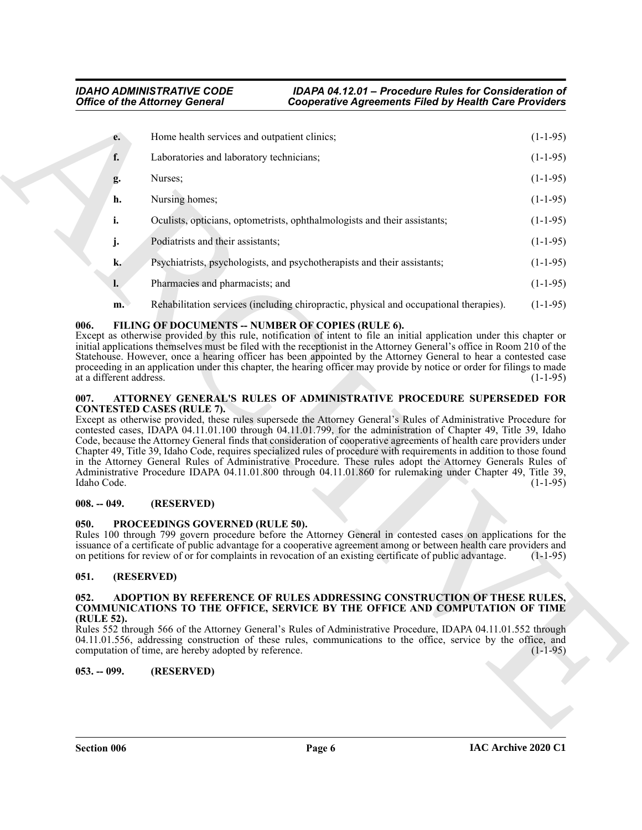|                                 | <b>Office of the Attorney General</b>                 | <b>Cooperative Agreements Filed by Health Care Providers</b>                                                                                                                                                                                                                                                                                                                                                                                                                                                                                                                                                                                                                                                        |            |
|---------------------------------|-------------------------------------------------------|---------------------------------------------------------------------------------------------------------------------------------------------------------------------------------------------------------------------------------------------------------------------------------------------------------------------------------------------------------------------------------------------------------------------------------------------------------------------------------------------------------------------------------------------------------------------------------------------------------------------------------------------------------------------------------------------------------------------|------------|
| e.                              | Home health services and outpatient clinics;          |                                                                                                                                                                                                                                                                                                                                                                                                                                                                                                                                                                                                                                                                                                                     | $(1-1-95)$ |
| f.                              | Laboratories and laboratory technicians;              |                                                                                                                                                                                                                                                                                                                                                                                                                                                                                                                                                                                                                                                                                                                     | $(1-1-95)$ |
| g.                              | Nurses;                                               |                                                                                                                                                                                                                                                                                                                                                                                                                                                                                                                                                                                                                                                                                                                     | $(1-1-95)$ |
| h.                              | Nursing homes;                                        |                                                                                                                                                                                                                                                                                                                                                                                                                                                                                                                                                                                                                                                                                                                     | $(1-1-95)$ |
| i.                              |                                                       | Oculists, opticians, optometrists, ophthalmologists and their assistants;                                                                                                                                                                                                                                                                                                                                                                                                                                                                                                                                                                                                                                           | $(1-1-95)$ |
| j.                              | Podiatrists and their assistants;                     |                                                                                                                                                                                                                                                                                                                                                                                                                                                                                                                                                                                                                                                                                                                     | $(1-1-95)$ |
| k.                              |                                                       | Psychiatrists, psychologists, and psychotherapists and their assistants;                                                                                                                                                                                                                                                                                                                                                                                                                                                                                                                                                                                                                                            | $(1-1-95)$ |
| l.                              | Pharmacies and pharmacists; and                       |                                                                                                                                                                                                                                                                                                                                                                                                                                                                                                                                                                                                                                                                                                                     | $(1-1-95)$ |
| m.                              |                                                       | Rehabilitation services (including chiropractic, physical and occupational therapies).                                                                                                                                                                                                                                                                                                                                                                                                                                                                                                                                                                                                                              | $(1-1-95)$ |
| at a different address.<br>007. | <b>CONTESTED CASES (RULE 7).</b>                      | Except as otherwise provided by this rule, notification of intent to file an initial application under this chapter or<br>initial applications themselves must be filed with the receptionist in the Attorney General's office in Room 210 of the<br>Statehouse. However, once a hearing officer has been appointed by the Attorney General to hear a contested case<br>proceeding in an application under this chapter, the hearing officer may provide by notice or order for filings to made<br>ATTORNEY GENERAL'S RULES OF ADMINISTRATIVE PROCEDURE SUPERSEDED FOR                                                                                                                                              | $(1-1-95)$ |
| Idaho Code.                     |                                                       | Except as otherwise provided, these rules supersede the Attorney General's Rules of Administrative Procedure for<br>contested cases, IDAPA 04.11.01.100 through 04.11.01.799, for the administration of Chapter 49, Title 39, Idaho<br>Code, because the Attorney General finds that consideration of cooperative agreements of health care providers under<br>Chapter 49, Title 39, Idaho Code, requires specialized rules of procedure with requirements in addition to those found<br>in the Attorney General Rules of Administrative Procedure. These rules adopt the Attorney Generals Rules of<br>Administrative Procedure IDAPA 04.11.01.800 through 04.11.01.860 for rulemaking under Chapter 49, Title 39, | $(1-1-95)$ |
| $008. - 049.$                   | (RESERVED)                                            |                                                                                                                                                                                                                                                                                                                                                                                                                                                                                                                                                                                                                                                                                                                     |            |
| 050.                            | PROCEEDINGS GOVERNED (RULE 50).                       | Rules 100 through 799 govern procedure before the Attorney General in contested cases on applications for the<br>issuance of a certificate of public advantage for a cooperative agreement among or between health care providers and<br>on petitions for review of or for complaints in revocation of an existing certificate of public advantage.                                                                                                                                                                                                                                                                                                                                                                 | $(1-1-95)$ |
| 051.                            | (RESERVED)                                            |                                                                                                                                                                                                                                                                                                                                                                                                                                                                                                                                                                                                                                                                                                                     |            |
| 052.<br>(RULE 52).              |                                                       | ADOPTION BY REFERENCE OF RULES ADDRESSING CONSTRUCTION OF THESE RULES,<br><b>COMMUNICATIONS TO THE OFFICE, SERVICE BY THE OFFICE AND COMPUTATION OF TIME</b><br>Rules 552 through 566 of the Attorney General's Rules of Administrative Procedure, IDAPA 04.11.01.552 through<br>04.11.01.556, addressing construction of these rules, communications to the office, service by the office, and                                                                                                                                                                                                                                                                                                                     |            |
|                                 | computation of time, are hereby adopted by reference. |                                                                                                                                                                                                                                                                                                                                                                                                                                                                                                                                                                                                                                                                                                                     |            |
| $053. - 099.$                   | (RESERVED)                                            |                                                                                                                                                                                                                                                                                                                                                                                                                                                                                                                                                                                                                                                                                                                     |            |
|                                 |                                                       |                                                                                                                                                                                                                                                                                                                                                                                                                                                                                                                                                                                                                                                                                                                     | $(1-1-95)$ |

# <span id="page-5-9"></span><span id="page-5-0"></span>006. FILING OF DOCUMENTS -- NUMBER OF COPIES (RULE 6).

#### <span id="page-5-8"></span><span id="page-5-1"></span>**007. ATTORNEY GENERAL'S RULES OF ADMINISTRATIVE PROCEDURE SUPERSEDED FOR CONTESTED CASES (RULE 7).**

#### <span id="page-5-2"></span>**008. -- 049. (RESERVED)**

# <span id="page-5-10"></span><span id="page-5-3"></span>**050. PROCEEDINGS GOVERNED (RULE 50).**

# <span id="page-5-4"></span>**051. (RESERVED)**

#### <span id="page-5-7"></span><span id="page-5-5"></span>**052. ADOPTION BY REFERENCE OF RULES ADDRESSING CONSTRUCTION OF THESE RULES, COMMUNICATIONS TO THE OFFICE, SERVICE BY THE OFFICE AND COMPUTATION OF TIME (RULE 52).**

#### <span id="page-5-6"></span>**053. -- 099. (RESERVED)**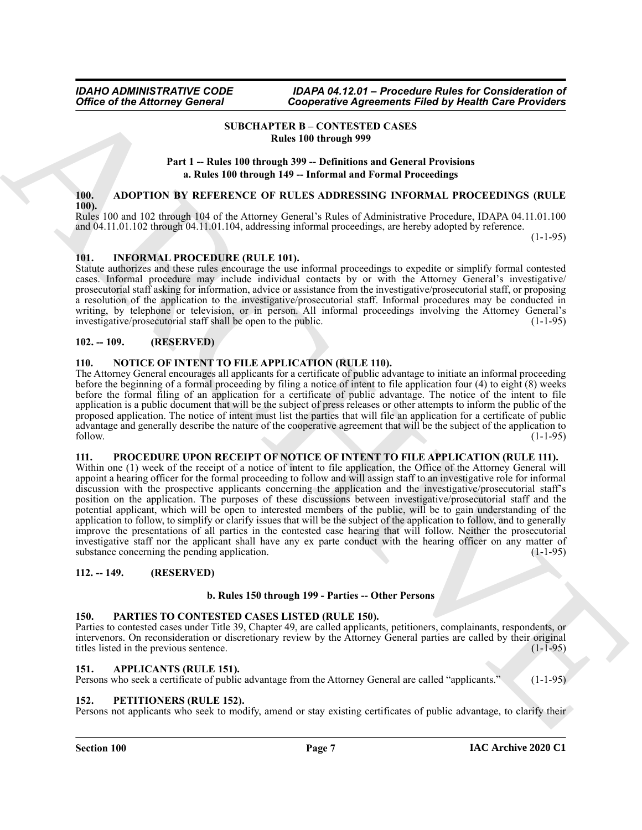<span id="page-6-0"></span>

# **SUBCHAPTER B – CONTESTED CASES Rules 100 through 999**

### **Part 1 -- Rules 100 through 399 -- Definitions and General Provisions a. Rules 100 through 149 -- Informal and Formal Proceedings**

# <span id="page-6-10"></span><span id="page-6-1"></span>**100. ADOPTION BY REFERENCE OF RULES ADDRESSING INFORMAL PROCEEDINGS (RULE 100).**

Rules 100 and 102 through 104 of the Attorney General's Rules of Administrative Procedure, IDAPA 04.11.01.100 and 04.11.01.102 through 04.11.01.104, addressing informal proceedings, are hereby adopted by reference.

(1-1-95)

# <span id="page-6-12"></span><span id="page-6-2"></span>**101. INFORMAL PROCEDURE (RULE 101).**

Statute authorizes and these rules encourage the use informal proceedings to expedite or simplify formal contested cases. Informal procedure may include individual contacts by or with the Attorney General's investigative/ prosecutorial staff asking for information, advice or assistance from the investigative/prosecutorial staff, or proposing a resolution of the application to the investigative/prosecutorial staff. Informal procedures may be conducted in writing, by telephone or television, or in person. All informal proceedings involving the Attorney General's investigative/prosecutorial staff shall be open to the public. (1-1-95) investigative/prosecutorial staff shall be open to the public.

# <span id="page-6-3"></span>**102. -- 109. (RESERVED)**

# <span id="page-6-13"></span><span id="page-6-4"></span>**110. NOTICE OF INTENT TO FILE APPLICATION (RULE 110).**

The Attorney General encourages all applicants for a certificate of public advantage to initiate an informal proceeding before the beginning of a formal proceeding by filing a notice of intent to file application four (4) to eight (8) weeks before the formal filing of an application for a certificate of public advantage. The notice of the intent to file application is a public document that will be the subject of press releases or other attempts to inform the public of the proposed application. The notice of intent must list the parties that will file an application for a certificate of public advantage and generally describe the nature of the cooperative agreement that will be the subject of the application to follow. (1-1-95)

# <span id="page-6-16"></span><span id="page-6-5"></span>**111. PROCEDURE UPON RECEIPT OF NOTICE OF INTENT TO FILE APPLICATION (RULE 111).**

Office of the Attorney General<br>
The COMERNATIVE CONTENTIFICATION FROM Definition<br>  $\text{Pr}(\mathbf{I} = \text{R}_0 \text{H}_0)$  (ERES) (EVEN INTERFACTION FROM DETAIL CONTENTIFICATION FROM DETAIL CONTENTIFICATION (ET also in the state of th Within one (1) week of the receipt of a notice of intent to file application, the Office of the Attorney General will appoint a hearing officer for the formal proceeding to follow and will assign staff to an investigative role for informal discussion with the prospective applicants concerning the application and the investigative/prosecutorial staff's position on the application. The purposes of these discussions between investigative/prosecutorial staff and the potential applicant, which will be open to interested members of the public, will be to gain understanding of the application to follow, to simplify or clarify issues that will be the subject of the application to follow, and to generally improve the presentations of all parties in the contested case hearing that will follow. Neither the prosecutorial investigative staff nor the applicant shall have any ex parte conduct with the hearing officer on any matter of substance concerning the pending application. (1-1-95) substance concerning the pending application.

#### <span id="page-6-6"></span>**112. -- 149. (RESERVED)**

#### **b. Rules 150 through 199 - Parties -- Other Persons**

#### <span id="page-6-14"></span><span id="page-6-7"></span>**150. PARTIES TO CONTESTED CASES LISTED (RULE 150).**

Parties to contested cases under Title 39, Chapter 49, are called applicants, petitioners, complainants, respondents, or intervenors. On reconsideration or discretionary review by the Attorney General parties are called by their original titles listed in the previous sentence. (1-1-95)

#### <span id="page-6-11"></span><span id="page-6-8"></span>**151. APPLICANTS (RULE 151).**

Persons who seek a certificate of public advantage from the Attorney General are called "applicants." (1-1-95)

#### <span id="page-6-15"></span><span id="page-6-9"></span>**152. PETITIONERS (RULE 152).**

Persons not applicants who seek to modify, amend or stay existing certificates of public advantage, to clarify their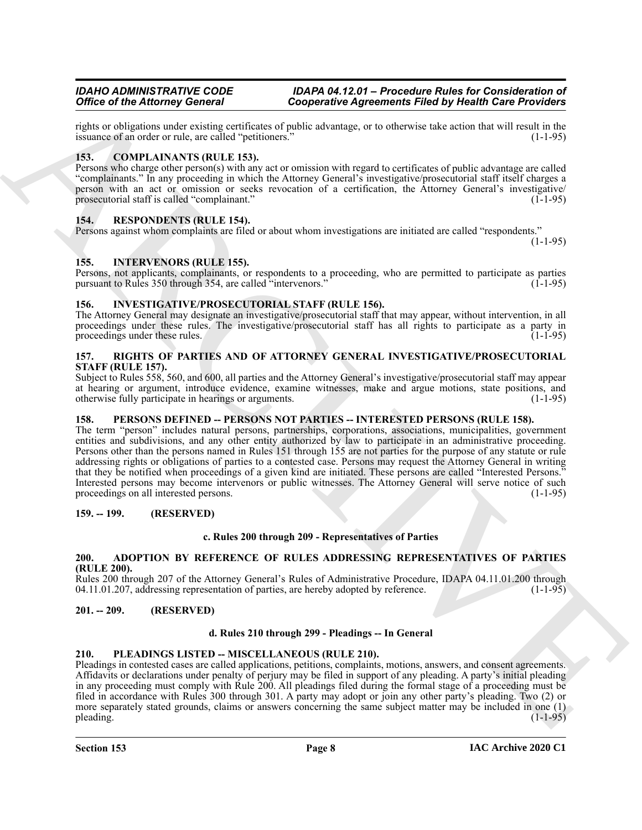rights or obligations under existing certificates of public advantage, or to otherwise take action that will result in the issuance of an order or rule, are called "petitioners." issuance of an order or rule, are called "petitioners."

# <span id="page-7-11"></span><span id="page-7-0"></span>**153. COMPLAINANTS (RULE 153).**

Persons who charge other person(s) with any act or omission with regard to certificates of public advantage are called "complainants." In any proceeding in which the Attorney General's investigative/prosecutorial staff itself charges a person with an act or omission or seeks revocation of a certification, the Attorney General's investigative/ prosecutorial staff is called "complainant." (1-1-95)

# <span id="page-7-15"></span><span id="page-7-1"></span>**154. RESPONDENTS (RULE 154).**

Persons against whom complaints are filed or about whom investigations are initiated are called "respondents."

(1-1-95)

#### <span id="page-7-12"></span><span id="page-7-2"></span>**155. INTERVENORS (RULE 155).**

Persons, not applicants, complainants, or respondents to a proceeding, who are permitted to participate as parties pursuant to Rules 350 through 354, are called "intervenors." (1-1-95) pursuant to Rules 350 through 354, are called "intervenors."

#### <span id="page-7-13"></span><span id="page-7-3"></span>**156. INVESTIGATIVE/PROSECUTORIAL STAFF (RULE 156).**

The Attorney General may designate an investigative/prosecutorial staff that may appear, without intervention, in all proceedings under these rules. The investigative/prosecutorial staff has all rights to participate as a party in proceedings under these rules. (1-1-95)

# <span id="page-7-16"></span><span id="page-7-4"></span>**157. RIGHTS OF PARTIES AND OF ATTORNEY GENERAL INVESTIGATIVE/PROSECUTORIAL STAFF (RULE 157).**

Subject to Rules 558, 560, and 600, all parties and the Attorney General's investigative/prosecutorial staff may appear at hearing or argument, introduce evidence, examine witnesses, make and argue motions, state positions, and otherwise fully participate in hearings or arguments. (1-1-95)

# <span id="page-7-5"></span>**158. PERSONS DEFINED -- PERSONS NOT PARTIES -- INTERESTED PERSONS (RULE 158).**

Office of the Altimotey General Conservative Agreements Filed by Health Experiments (and the Altimote School of the Altimote School of the Altimote School of the Altimote School of the Altimote School of the Altimote Scho The term "person" includes natural persons, partnerships, corporations, associations, municipalities, government entities and subdivisions, and any other entity authorized by law to participate in an administrative proceeding. Persons other than the persons named in Rules 151 through 155 are not parties for the purpose of any statute or rule addressing rights or obligations of parties to a contested case. Persons may request the Attorney General in writing that they be notified when proceedings of a given kind are initiated. These persons are called "Interested Persons." Interested persons may become intervenors or public witnesses. The Attorney General will serve notice of such proceedings on all interested persons. (1-1-95)

#### <span id="page-7-6"></span>**159. -- 199. (RESERVED)**

# **c. Rules 200 through 209 - Representatives of Parties**

#### <span id="page-7-10"></span><span id="page-7-7"></span>**200. ADOPTION BY REFERENCE OF RULES ADDRESSING REPRESENTATIVES OF PARTIES (RULE 200).**

Rules 200 through 207 of the Attorney General's Rules of Administrative Procedure, IDAPA 04.11.01.200 through 04.11.01.207, addressing representation of parties, are hereby adopted by reference. (1-1-95)

#### <span id="page-7-8"></span>**201. -- 209. (RESERVED)**

#### **d. Rules 210 through 299 - Pleadings -- In General**

#### <span id="page-7-14"></span><span id="page-7-9"></span>**210. PLEADINGS LISTED -- MISCELLANEOUS (RULE 210).**

Pleadings in contested cases are called applications, petitions, complaints, motions, answers, and consent agreements. Affidavits or declarations under penalty of perjury may be filed in support of any pleading. A party's initial pleading in any proceeding must comply with Rule 200. All pleadings filed during the formal stage of a proceeding must be filed in accordance with Rules 300 through 301. A party may adopt or join any other party's pleading. Two (2) or more separately stated grounds, claims or answers concerning the same subject matter may be included in one (1) pleading. (1-1-95) pleading. (1-1-95) (1-1-95)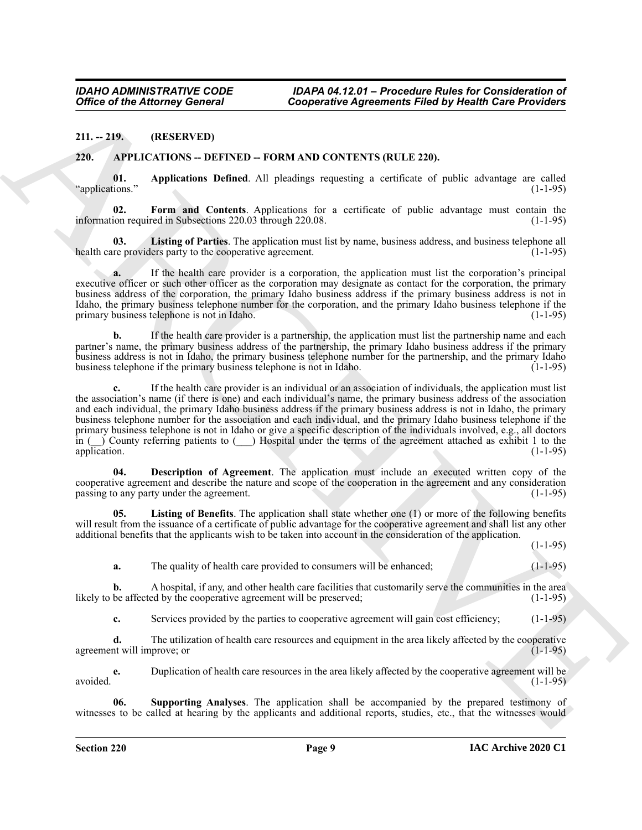#### <span id="page-8-0"></span>**211. -- 219. (RESERVED)**

#### <span id="page-8-2"></span><span id="page-8-1"></span>**220. APPLICATIONS -- DEFINED -- FORM AND CONTENTS (RULE 220).**

<span id="page-8-3"></span>**01. Applications Defined**. All pleadings requesting a certificate of public advantage are called "applications."

<span id="page-8-5"></span>**02. Form and Contents**. Applications for a certificate of public advantage must contain the information required in Subsections 220.03 through 220.08. (1-1-95)

<span id="page-8-7"></span>**03.** Listing of Parties. The application must list by name, business address, and business telephone all re providers party to the cooperative agreement. health care providers party to the cooperative agreement.

**a.** If the health care provider is a corporation, the application must list the corporation's principal executive officer or such other officer as the corporation may designate as contact for the corporation, the primary business address of the corporation, the primary Idaho business address if the primary business address is not in Idaho, the primary business telephone number for the corporation, and the primary Idaho business telephone if the primary business telephone is not in Idaho. (1-1-95)

**b.** If the health care provider is a partnership, the application must list the partnership name and each partner's name, the primary business address of the partnership, the primary Idaho business address if the primary business address is not in Idaho, the primary business telephone number for the partnership, and the primary Idaho business telephone if the primary business telephone is not in Idaho. (1-1-95)

Office of the Attorney General<br>
211.-133.<br>
211.-133. (RESERVATORS - DETENDO - FOORMAND CONTEXTS (RELE 239).<br>
221. APPELCATIONS - DETENDO - FOORMAND CONTEXTS (RELE 239).<br>
221. APPELCATIONS - DETENDO - FOORMAND CONTEXTS (RE **c.** If the health care provider is an individual or an association of individuals, the application must list the association's name (if there is one) and each individual's name, the primary business address of the association and each individual, the primary Idaho business address if the primary business address is not in Idaho, the primary business telephone number for the association and each individual, and the primary Idaho business telephone if the primary business telephone is not in Idaho or give a specific description of the individuals involved, e.g., all doctors in ( $\sum$ ) County referring patients to ( $\sum$ ) Hospital under the terms of the agreement attached as exhibit 1 to the application. (1-1-95)

<span id="page-8-4"></span>**04. Description of Agreement**. The application must include an executed written copy of the cooperative agreement and describe the nature and scope of the cooperation in the agreement and any consideration passing to any party under the agreement. (1-1-95)

**05. Listing of Benefits**. The application shall state whether one (1) or more of the following benefits will result from the issuance of a certificate of public advantage for the cooperative agreement and shall list any other additional benefits that the applicants wish to be taken into account in the consideration of the application.

 $(1-1-95)$ 

<span id="page-8-6"></span>**a.** The quality of health care provided to consumers will be enhanced;  $(1-1-95)$ 

**b.** A hospital, if any, and other health care facilities that customarily serve the communities in the area be affected by the cooperative agreement will be preserved; (1-1-95) likely to be affected by the cooperative agreement will be preserved;

**c.** Services provided by the parties to cooperative agreement will gain cost efficiency; (1-1-95)

**d.** The utilization of health care resources and equipment in the area likely affected by the cooperative agreement will improve; or  $(1-1-95)$ 

**e.** Duplication of health care resources in the area likely affected by the cooperative agreement will be avoided. (1-1-95)

<span id="page-8-8"></span>**06. Supporting Analyses**. The application shall be accompanied by the prepared testimony of witnesses to be called at hearing by the applicants and additional reports, studies, etc., that the witnesses would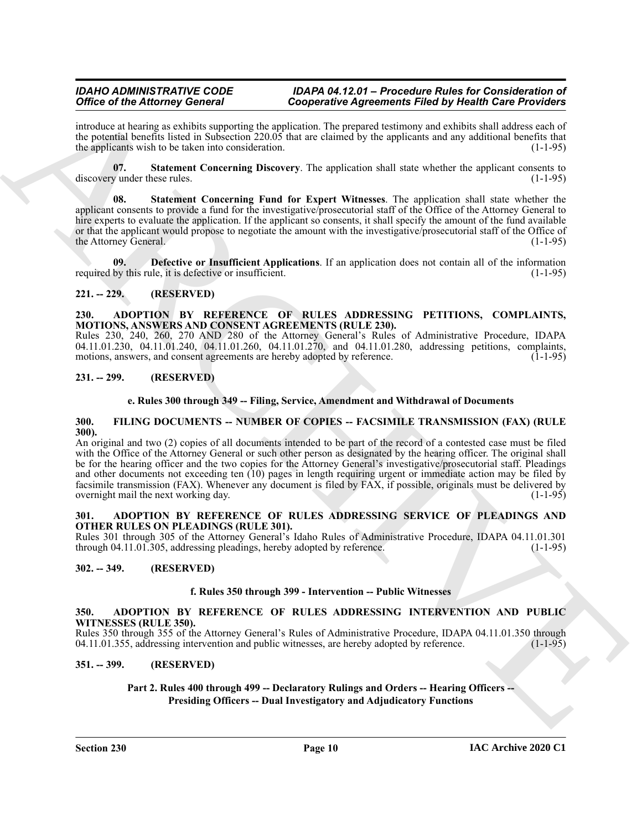introduce at hearing as exhibits supporting the application. The prepared testimony and exhibits shall address each of the potential benefits listed in Subsection 220.05 that are claimed by the applicants and any additional benefits that the applicants wish to be taken into consideration.  $(1-1-95)$ 

<span id="page-9-12"></span>**07. Statement Concerning Discovery**. The application shall state whether the applicant consents to discovery under these rules. (1-1-95)

<span id="page-9-13"></span>**08. Statement Concerning Fund for Expert Witnesses**. The application shall state whether the applicant consents to provide a fund for the investigative/prosecutorial staff of the Office of the Attorney General to hire experts to evaluate the application. If the applicant so consents, it shall specify the amount of the fund available or that the applicant would propose to negotiate the amount with the investigative/prosecutorial staff of the Office of the Attorney General. (1-1-95)

<span id="page-9-11"></span>**09. Defective or Insufficient Applications**. If an application does not contain all of the information required by this rule, it is defective or insufficient. (1-1-95)

# <span id="page-9-0"></span>**221. -- 229. (RESERVED)**

#### <span id="page-9-9"></span><span id="page-9-1"></span>**230. ADOPTION BY REFERENCE OF RULES ADDRESSING PETITIONS, COMPLAINTS, MOTIONS, ANSWERS AND CONSENT AGREEMENTS (RULE 230).**

Rules 230, 240, 260, 270 AND 280 of the Attorney General's Rules of Administrative Procedure, IDAPA 04.11.01.230, 04.11.01.240, 04.11.01.260, 04.11.01.270, and 04.11.01.280, addressing petitions, complaints, motions, answers, and consent agreements are hereby adopted by reference.  $(1-1-95)$ motions, answers, and consent agreements are hereby adopted by reference.

# <span id="page-9-2"></span>**231. -- 299. (RESERVED)**

# <span id="page-9-14"></span>**e. Rules 300 through 349 -- Filing, Service, Amendment and Withdrawal of Documents**

#### <span id="page-9-3"></span>**300. FILING DOCUMENTS -- NUMBER OF COPIES -- FACSIMILE TRANSMISSION (FAX) (RULE 300).**

Office of the Alternative Concerns of Conjecturing in the properties Field by Hold He Schwitz Concerns ( $\mu$ ) and the spin of the Alternative Concerns ( $\mu$ ) and the spin of the Alternative Concerns ( $\mu$ ) and the spin of An original and two (2) copies of all documents intended to be part of the record of a contested case must be filed with the Office of the Attorney General or such other person as designated by the hearing officer. The original shall be for the hearing officer and the two copies for the Attorney General's investigative/prosecutorial staff. Pleadings and other documents not exceeding ten (10) pages in length requiring urgent or immediate action may be filed by facsimile transmission (FAX). Whenever any document is filed by FAX, if possible, originals must be delivered by overnight mail the next working day.

#### <span id="page-9-10"></span><span id="page-9-4"></span>**301. ADOPTION BY REFERENCE OF RULES ADDRESSING SERVICE OF PLEADINGS AND OTHER RULES ON PLEADINGS (RULE 301).**

Rules 301 through 305 of the Attorney General's Idaho Rules of Administrative Procedure, IDAPA 04.11.01.301 through 04.11.01.305, addressing pleadings, hereby adopted by reference. (1-1-95)

# <span id="page-9-5"></span>**302. -- 349. (RESERVED)**

#### **f. Rules 350 through 399 - Intervention -- Public Witnesses**

#### <span id="page-9-8"></span><span id="page-9-6"></span>**350. ADOPTION BY REFERENCE OF RULES ADDRESSING INTERVENTION AND PUBLIC WITNESSES (RULE 350).**

Rules 350 through 355 of the Attorney General's Rules of Administrative Procedure, IDAPA 04.11.01.350 through 04.11.01.355, addressing intervention and public witnesses, are hereby adopted by reference. (1-1-95)

# <span id="page-9-7"></span>**351. -- 399. (RESERVED)**

# **Part 2. Rules 400 through 499 -- Declaratory Rulings and Orders -- Hearing Officers -- Presiding Officers -- Dual Investigatory and Adjudicatory Functions**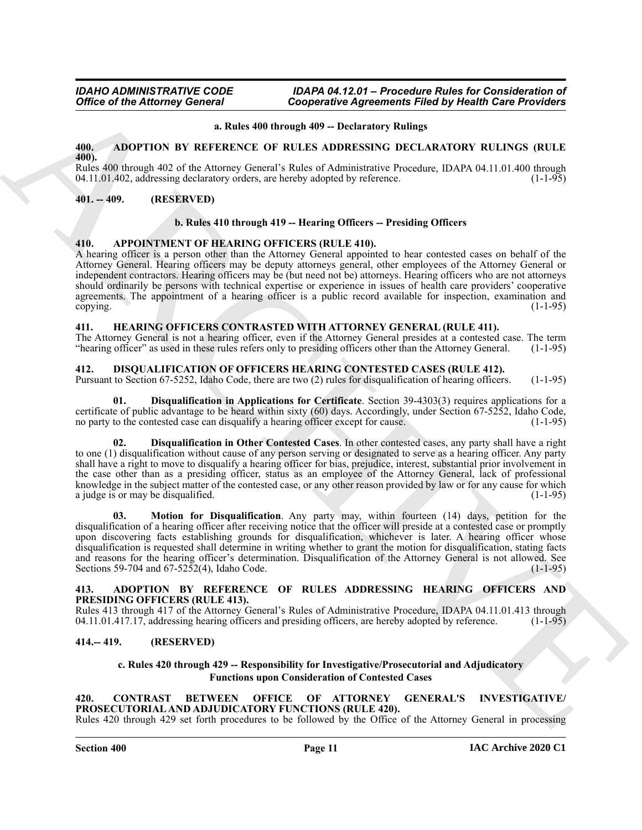#### **a. Rules 400 through 409 -- Declaratory Rulings**

# <span id="page-10-8"></span><span id="page-10-0"></span>**400. ADOPTION BY REFERENCE OF RULES ADDRESSING DECLARATORY RULINGS (RULE 400).**

Rules 400 through 402 of the Attorney General's Rules of Administrative Procedure, IDAPA 04.11.01.400 through 04.11.01.402, addressing declaratory orders, are hereby adopted by reference. (1-1-95)

# <span id="page-10-1"></span>**401. -- 409. (RESERVED)**

# **b. Rules 410 through 419 -- Hearing Officers -- Presiding Officers**

# <span id="page-10-10"></span><span id="page-10-2"></span>**410. APPOINTMENT OF HEARING OFFICERS (RULE 410).**

A hearing officer is a person other than the Attorney General appointed to hear contested cases on behalf of the Attorney General. Hearing officers may be deputy attorneys general, other employees of the Attorney General or independent contractors. Hearing officers may be (but need not be) attorneys. Hearing officers who are not attorneys should ordinarily be persons with technical expertise or experience in issues of health care providers' cooperative agreements. The appointment of a hearing officer is a public record available for inspection, examination and copying. (1-1-95)

# <span id="page-10-16"></span><span id="page-10-3"></span>**411. HEARING OFFICERS CONTRASTED WITH ATTORNEY GENERAL (RULE 411).**

The Attorney General is not a hearing officer, even if the Attorney General presides at a contested case. The term "hearing officer" as used in these rules refers only to presiding officers other than the Attorney General. (1-1-95)

# <span id="page-10-12"></span><span id="page-10-4"></span>**412. DISQUALIFICATION OF OFFICERS HEARING CONTESTED CASES (RULE 412).**

Pursuant to Section 67-5252, Idaho Code, there are two (2) rules for disqualification of hearing officers. (1-1-95)

<span id="page-10-13"></span>**01. Disqualification in Applications for Certificate**. Section 39-4303(3) requires applications for a certificate of public advantage to be heard within sixty (60) days. Accordingly, under Section 67-5252, Idaho Code, no party to the contested case can disqualify a hearing officer except for cause. (1-1-95)

<span id="page-10-15"></span><span id="page-10-14"></span>**02. Disqualification in Other Contested Cases**. In other contested cases, any party shall have a right to one (1) disqualification without cause of any person serving or designated to serve as a hearing officer. Any party shall have a right to move to disqualify a hearing officer for bias, prejudice, interest, substantial prior involvement in the case other than as a presiding officer, status as an employee of the Attorney General, lack of professional knowledge in the subject matter of the contested case, or any other reason provided by law or for any cause for which a judge is or may be disqualified. (1-1-95)

Office of the Attorney General<br>
Conjecturing Approximate Filicit By Hoalth Sav Providers<br>
4. ADOPTION W REFERENCE, OR RUES ADDRESSING INCLUSION (REURS)<br>
4. ADOPTION W REFERENCE, OR RUES ADDRESSING INCLUSION CREATED INCRED **03. Motion for Disqualification**. Any party may, within fourteen (14) days, petition for the disqualification of a hearing officer after receiving notice that the officer will preside at a contested case or promptly upon discovering facts establishing grounds for disqualification, whichever is later. A hearing officer whose disqualification is requested shall determine in writing whether to grant the motion for disqualification, stating facts and reasons for the hearing officer's determination. Disqualification of the Attorney General is not allowed. See Sections 59-704 and 67-5252(4), Idaho Code. (1-1-95)

#### <span id="page-10-9"></span><span id="page-10-5"></span>**413. ADOPTION BY REFERENCE OF RULES ADDRESSING HEARING OFFICERS AND PRESIDING OFFICERS (RULE 413).**

Rules 413 through 417 of the Attorney General's Rules of Administrative Procedure, IDAPA 04.11.01.413 through 04.11.01.417, addressing hearing officers and presiding officers, are hereby adopted by reference. (1-1-95) 04.11.01.417.17, addressing hearing officers and presiding officers, are hereby adopted by reference.

#### <span id="page-10-6"></span>**414.-- 419. (RESERVED)**

#### <span id="page-10-11"></span>**c. Rules 420 through 429 -- Responsibility for Investigative/Prosecutorial and Adjudicatory Functions upon Consideration of Contested Cases**

#### <span id="page-10-7"></span>**420. CONTRAST BETWEEN OFFICE OF ATTORNEY GENERAL'S INVESTIGATIVE/ PROSECUTORIAL AND ADJUDICATORY FUNCTIONS (RULE 420).**

Rules 420 through 429 set forth procedures to be followed by the Office of the Attorney General in processing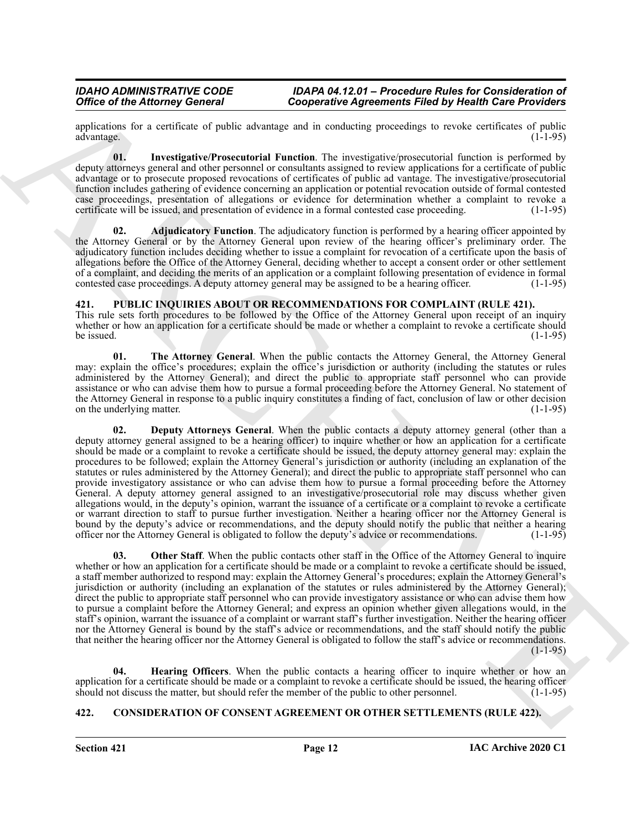applications for a certificate of public advantage and in conducting proceedings to revoke certificates of public advantage. (1-1-95)

<span id="page-11-4"></span>**01. Investigative/Prosecutorial Function**. The investigative/prosecutorial function is performed by deputy attorneys general and other personnel or consultants assigned to review applications for a certificate of public advantage or to prosecute proposed revocations of certificates of public ad vantage. The investigative/prosecutorial function includes gathering of evidence concerning an application or potential revocation outside of formal contested case proceedings, presentation of allegations or evidence for determination whether a complaint to revoke a certificate will be issued, and presentation of evidence in a formal contested case proceeding. (1-1-95)

<span id="page-11-3"></span>**02. Adjudicatory Function**. The adjudicatory function is performed by a hearing officer appointed by the Attorney General or by the Attorney General upon review of the hearing officer's preliminary order. The adjudicatory function includes deciding whether to issue a complaint for revocation of a certificate upon the basis of allegations before the Office of the Attorney General, deciding whether to accept a consent order or other settlement of a complaint, and deciding the merits of an application or a complaint following presentation of evidence in formal contested case proceedings. A deputy attorney general may be assigned to be a hearing officer.  $(1-1-95)$ 

# <span id="page-11-5"></span><span id="page-11-0"></span>**421. PUBLIC INQUIRIES ABOUT OR RECOMMENDATIONS FOR COMPLAINT (RULE 421).**

This rule sets forth procedures to be followed by the Office of the Attorney General upon receipt of an inquiry whether or how an application for a certificate should be made or whether a complaint to revoke a certificate should be issued.  $(1-1-95)$ 

<span id="page-11-9"></span><span id="page-11-6"></span>**01.** The Attorney General. When the public contacts the Attorney General, the Attorney General may: explain the office's procedures; explain the office's jurisdiction or authority (including the statutes or rules administered by the Attorney General); and direct the public to appropriate staff personnel who can provide assistance or who can advise them how to pursue a formal proceeding before the Attorney General. No statement of the Attorney General in response to a public inquiry constitutes a finding of fact, conclusion of law or other decision<br>on the underlying matter. (1-1-95) on the underlying matter.

Office of the Attorney General Conservative Agreements Filed by Health Case Provides<br>
archives the conservative of the system of the methods and the system of the system of the system of the system of the system of the sy **02. Deputy Attorneys General**. When the public contacts a deputy attorney general (other than a deputy attorney general assigned to be a hearing officer) to inquire whether or how an application for a certificate should be made or a complaint to revoke a certificate should be issued, the deputy attorney general may: explain the procedures to be followed; explain the Attorney General's jurisdiction or authority (including an explanation of the statutes or rules administered by the Attorney General); and direct the public to appropriate staff personnel who can provide investigatory assistance or who can advise them how to pursue a formal proceeding before the Attorney General. A deputy attorney general assigned to an investigative/prosecutorial role may discuss whether given allegations would, in the deputy's opinion, warrant the issuance of a certificate or a complaint to revoke a certificate or warrant direction to staff to pursue further investigation. Neither a hearing officer nor the Attorney General is bound by the deputy's advice or recommendations, and the deputy should notify the public that neither a hearing officer nor the Attorney General is obligated to follow the deputy's advice or recommendations. (1-1-95) officer nor the Attorney General is obligated to follow the deputy's advice or recommendations.

<span id="page-11-8"></span>**03.** Other Staff. When the public contacts other staff in the Office of the Attorney General to inquire whether or how an application for a certificate should be made or a complaint to revoke a certificate should be issued, a staff member authorized to respond may: explain the Attorney General's procedures; explain the Attorney General's jurisdiction or authority (including an explanation of the statutes or rules administered by the Attorney General); direct the public to appropriate staff personnel who can provide investigatory assistance or who can advise them how to pursue a complaint before the Attorney General; and express an opinion whether given allegations would, in the staff's opinion, warrant the issuance of a complaint or warrant staff's further investigation. Neither the hearing officer nor the Attorney General is bound by the staff's advice or recommendations, and the staff should notify the public that neither the hearing officer nor the Attorney General is obligated to follow the staff's advice or recommendations.  $(1-1-95)$ 

<span id="page-11-7"></span>**04. Hearing Officers**. When the public contacts a hearing officer to inquire whether or how an application for a certificate should be made or a complaint to revoke a certificate should be issued, the hearing officer should not discuss the matter, but should refer the member of the public to other personnel. (1-1-95 should not discuss the matter, but should refer the member of the public to other personnel.

# <span id="page-11-2"></span><span id="page-11-1"></span>**422. CONSIDERATION OF CONSENT AGREEMENT OR OTHER SETTLEMENTS (RULE 422).**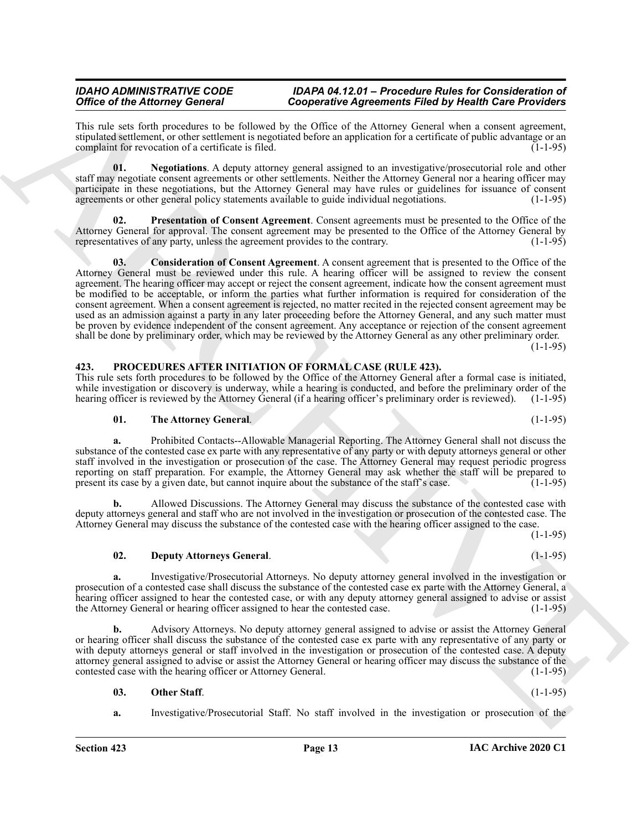This rule sets forth procedures to be followed by the Office of the Attorney General when a consent agreement, stipulated settlement, or other settlement is negotiated before an application for a certificate of public advantage or an complaint for revocation of a certificate is filed. (1-1-95)

<span id="page-12-2"></span>**01. Negotiations**. A deputy attorney general assigned to an investigative/prosecutorial role and other staff may negotiate consent agreements or other settlements. Neither the Attorney General nor a hearing officer may participate in these negotiations, but the Attorney General may have rules or guidelines for issuance of consent agreements or other general policy statements available to guide individual negotiations. (1-1-95)

<span id="page-12-3"></span><span id="page-12-1"></span>**Presentation of Consent Agreement**. Consent agreements must be presented to the Office of the Attorney General for approval. The consent agreement may be presented to the Office of the Attorney General by representatives of any party, unless the agreement provides to the contrary. (1-1-95)

Office of the African grounds in the Using Comparison Appearing Finish by the Minish Comparison Comparison Comparison Appearing The African grounds are also the stress of the African group of the stress of the stress of t **03. Consideration of Consent Agreement**. A consent agreement that is presented to the Office of the Attorney General must be reviewed under this rule. A hearing officer will be assigned to review the consent agreement. The hearing officer may accept or reject the consent agreement, indicate how the consent agreement must be modified to be acceptable, or inform the parties what further information is required for consideration of the consent agreement. When a consent agreement is rejected, no matter recited in the rejected consent agreement may be used as an admission against a party in any later proceeding before the Attorney General, and any such matter must be proven by evidence independent of the consent agreement. Any acceptance or rejection of the consent agreement shall be done by preliminary order, which may be reviewed by the Attorney General as any other preliminary order.  $(1-1-95)$ 

# <span id="page-12-4"></span><span id="page-12-0"></span>**423. PROCEDURES AFTER INITIATION OF FORMAL CASE (RULE 423).**

This rule sets forth procedures to be followed by the Office of the Attorney General after a formal case is initiated, while investigation or discovery is underway, while a hearing is conducted, and before the preliminary order of the hearing officer is reviewed by the Attorney General (if a hearing officer's preliminary order is reviewed). (1-1-95)

#### <span id="page-12-7"></span>**01. The Attorney General**. (1-1-95)

**a.** Prohibited Contacts--Allowable Managerial Reporting. The Attorney General shall not discuss the substance of the contested case ex parte with any representative of any party or with deputy attorneys general or other staff involved in the investigation or prosecution of the case. The Attorney General may request periodic progress reporting on staff preparation. For example, the Attorney General may ask whether the staff will be prepared to present its case by a given date, but cannot inquire about the substance of the staff's case. (1-1-95) present its case by a given date, but cannot inquire about the substance of the staff's case.

**b.** Allowed Discussions. The Attorney General may discuss the substance of the contested case with deputy attorneys general and staff who are not involved in the investigation or prosecution of the contested case. The Attorney General may discuss the substance of the contested case with the hearing officer assigned to the case.

(1-1-95)

#### <span id="page-12-5"></span>**02. Deputy Attorneys General**. (1-1-95)

**a.** Investigative/Prosecutorial Attorneys. No deputy attorney general involved in the investigation or prosecution of a contested case shall discuss the substance of the contested case ex parte with the Attorney General, a hearing officer assigned to hear the contested case, or with any deputy attorney general assigned to advise or assist the Attorney General or hearing officer assigned to hear the contested case. (1-1-95)

**b.** Advisory Attorneys. No deputy attorney general assigned to advise or assist the Attorney General or hearing officer shall discuss the substance of the contested case ex parte with any representative of any party or with deputy attorneys general or staff involved in the investigation or prosecution of the contested case. A deputy attorney general assigned to advise or assist the Attorney General or hearing officer may discuss the substance of the contested case with the hearing officer or Attorney General. (1-1-95)

#### <span id="page-12-6"></span>**03.** Other Staff. (1-1-95)

**a.** Investigative/Prosecutorial Staff. No staff involved in the investigation or prosecution of the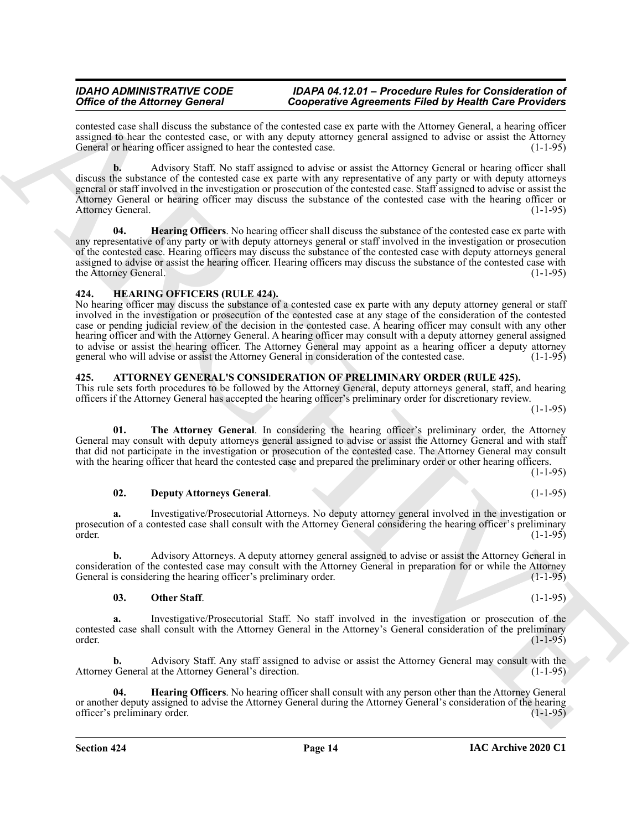contested case shall discuss the substance of the contested case ex parte with the Attorney General, a hearing officer assigned to hear the contested case, or with any deputy attorney general assigned to advise or assist the Attorney General or hearing officer assigned to hear the contested case. (1-1-95)

**b.** Advisory Staff. No staff assigned to advise or assist the Attorney General or hearing officer shall discuss the substance of the contested case ex parte with any representative of any party or with deputy attorneys general or staff involved in the investigation or prosecution of the contested case. Staff assigned to advise or assist the Attorney General or hearing officer may discuss the substance of the contested case with the hearing officer or Attorney General. (1-1-95)

<span id="page-13-8"></span>**04. Hearing Officers**. No hearing officer shall discuss the substance of the contested case ex parte with any representative of any party or with deputy attorneys general or staff involved in the investigation or prosecution of the contested case. Hearing officers may discuss the substance of the contested case with deputy attorneys general assigned to advise or assist the hearing officer. Hearing officers may discuss the substance of the contested case with the Attorney General. (1-1-95)

# <span id="page-13-7"></span><span id="page-13-0"></span>**424. HEARING OFFICERS (RULE 424).**

Office of the Africany General consistency of Conservative Agreements Friedrich Spiritual Conservative Agreements Friedrich Spiritual Conservative Agreements Friedrich Spiritual Conservative Agreements Conservative Agreem No hearing officer may discuss the substance of a contested case ex parte with any deputy attorney general or staff involved in the investigation or prosecution of the contested case at any stage of the consideration of the contested case or pending judicial review of the decision in the contested case. A hearing officer may consult with any other hearing officer and with the Attorney General. A hearing officer may consult with a deputy attorney general assigned to advise or assist the hearing officer. The Attorney General may appoint as a hearing officer a deputy attorney<br>general who will advise or assist the Attorney General in consideration of the contested case. (1-1-95) general who will advise or assist the Attorney General in consideration of the contested case.

# <span id="page-13-2"></span><span id="page-13-1"></span>**425. ATTORNEY GENERAL'S CONSIDERATION OF PRELIMINARY ORDER (RULE 425).**

This rule sets forth procedures to be followed by the Attorney General, deputy attorneys general, staff, and hearing officers if the Attorney General has accepted the hearing officer's preliminary order for discretionary review. (1-1-95)

<span id="page-13-6"></span>**01. The Attorney General**. In considering the hearing officer's preliminary order, the Attorney General may consult with deputy attorneys general assigned to advise or assist the Attorney General and with staff that did not participate in the investigation or prosecution of the contested case. The Attorney General may consult with the hearing officer that heard the contested case and prepared the preliminary order or other hearing officers.

(1-1-95)

# <span id="page-13-3"></span>**02. Deputy Attorneys General**. (1-1-95)

**a.** Investigative/Prosecutorial Attorneys. No deputy attorney general involved in the investigation or prosecution of a contested case shall consult with the Attorney General considering the hearing officer's preliminary order. (1-1-95)  $\sigma$ order. (1-1-95)

**b.** Advisory Attorneys. A deputy attorney general assigned to advise or assist the Attorney General in consideration of the contested case may consult with the Attorney General in preparation for or while the Attorney General is considering the hearing officer's preliminary order.

# <span id="page-13-5"></span>**03.** Other Staff. (1-1-95)

**a.** Investigative/Prosecutorial Staff. No staff involved in the investigation or prosecution of the contested case shall consult with the Attorney General in the Attorney's General consideration of the preliminary order. (1-1-95)

**b.** Advisory Staff. Any staff assigned to advise or assist the Attorney General may consult with the Attorney General at the Attorney General's direction. (1-1-95)

<span id="page-13-4"></span>**04. Hearing Officers**. No hearing officer shall consult with any person other than the Attorney General or another deputy assigned to advise the Attorney General during the Attorney General's consideration of the hearing officer's preliminary order. (1-1-95)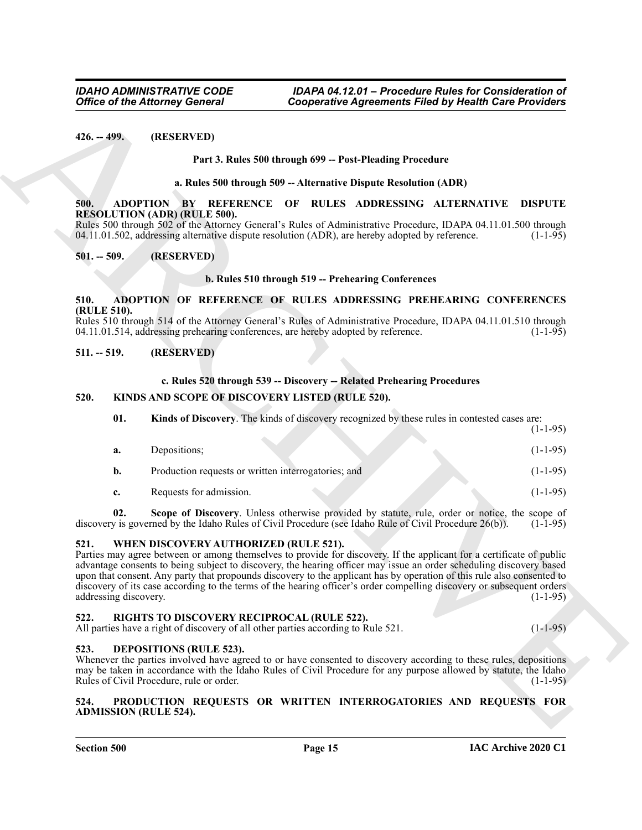# **Part 3. Rules 500 through 699 -- Post-Pleading Procedure**

#### **a. Rules 500 through 509 -- Alternative Dispute Resolution (ADR)**

#### <span id="page-14-10"></span><span id="page-14-1"></span><span id="page-14-0"></span>**500. ADOPTION BY REFERENCE OF RULES ADDRESSING ALTERNATIVE DISPUTE RESOLUTION (ADR) (RULE 500).**

#### **b. Rules 510 through 519 -- Prehearing Conferences**

# <span id="page-14-11"></span><span id="page-14-3"></span><span id="page-14-2"></span>**510. ADOPTION OF REFERENCE OF RULES ADDRESSING PREHEARING CONFERENCES (RULE 510).**

# <span id="page-14-4"></span>**511. -- 519. (RESERVED)**

# <span id="page-14-14"></span>**c. Rules 520 through 539 -- Discovery -- Related Prehearing Procedures**

# <span id="page-14-13"></span><span id="page-14-5"></span>**520. KINDS AND SCOPE OF DISCOVERY LISTED (RULE 520).**

|                               | <b>Office of the Attorney General</b>    | <b>Cooperative Agreements Filed by Health Care Providers</b>                                                                                                                                                                                                                                                                                                                                                                                                                                   |                |
|-------------------------------|------------------------------------------|------------------------------------------------------------------------------------------------------------------------------------------------------------------------------------------------------------------------------------------------------------------------------------------------------------------------------------------------------------------------------------------------------------------------------------------------------------------------------------------------|----------------|
| $426. - 499.$                 | (RESERVED)                               |                                                                                                                                                                                                                                                                                                                                                                                                                                                                                                |                |
|                               |                                          | Part 3. Rules 500 through 699 -- Post-Pleading Procedure                                                                                                                                                                                                                                                                                                                                                                                                                                       |                |
|                               |                                          | a. Rules 500 through 509 -- Alternative Dispute Resolution (ADR)                                                                                                                                                                                                                                                                                                                                                                                                                               |                |
| 500.                          |                                          | ADOPTION BY REFERENCE OF RULES ADDRESSING ALTERNATIVE                                                                                                                                                                                                                                                                                                                                                                                                                                          | <b>DISPUTE</b> |
|                               | <b>RESOLUTION (ADR) (RULE 500).</b>      | Rules 500 through 502 of the Attorney General's Rules of Administrative Procedure, IDAPA 04.11.01.500 through<br>04.11.01.502, addressing alternative dispute resolution (ADR), are hereby adopted by reference.                                                                                                                                                                                                                                                                               | $(1-1-95)$     |
| $501. - 509.$                 | (RESERVED)                               |                                                                                                                                                                                                                                                                                                                                                                                                                                                                                                |                |
|                               |                                          | b. Rules 510 through 519 -- Prehearing Conferences                                                                                                                                                                                                                                                                                                                                                                                                                                             |                |
| 510.                          |                                          | ADOPTION OF REFERENCE OF RULES ADDRESSING PREHEARING CONFERENCES                                                                                                                                                                                                                                                                                                                                                                                                                               |                |
| (RULE 510).                   |                                          | Rules 510 through 514 of the Attorney General's Rules of Administrative Procedure, IDAPA 04.11.01.510 through<br>04.11.01.514, addressing prehearing conferences, are hereby adopted by reference.                                                                                                                                                                                                                                                                                             | $(1-1-95)$     |
| $511. - 519.$                 | (RESERVED)                               |                                                                                                                                                                                                                                                                                                                                                                                                                                                                                                |                |
|                               |                                          | c. Rules 520 through 539 -- Discovery -- Related Prehearing Procedures                                                                                                                                                                                                                                                                                                                                                                                                                         |                |
| 520.                          |                                          | KINDS AND SCOPE OF DISCOVERY LISTED (RULE 520).                                                                                                                                                                                                                                                                                                                                                                                                                                                |                |
| 01.                           |                                          | Kinds of Discovery. The kinds of discovery recognized by these rules in contested cases are:                                                                                                                                                                                                                                                                                                                                                                                                   | $(1-1-95)$     |
| a.                            | Depositions;                             |                                                                                                                                                                                                                                                                                                                                                                                                                                                                                                | $(1-1-95)$     |
| b.                            |                                          | Production requests or written interrogatories; and                                                                                                                                                                                                                                                                                                                                                                                                                                            | $(1-1-95)$     |
| c.                            | Requests for admission.                  |                                                                                                                                                                                                                                                                                                                                                                                                                                                                                                | $(1-1-95)$     |
| 02.                           |                                          | Scope of Discovery. Unless otherwise provided by statute, rule, order or notice, the scope of<br>discovery is governed by the Idaho Rules of Civil Procedure (see Idaho Rule of Civil Procedure 26(b)).                                                                                                                                                                                                                                                                                        | $(1-1-95)$     |
| 521.<br>addressing discovery. | WHEN DISCOVERY AUTHORIZED (RULE 521).    | Parties may agree between or among themselves to provide for discovery. If the applicant for a certificate of public<br>advantage consents to being subject to discovery, the hearing officer may issue an order scheduling discovery based<br>upon that consent. Any party that propounds discovery to the applicant has by operation of this rule also consented to<br>discovery of its case according to the terms of the hearing officer's order compelling discovery or subsequent orders | $(1-1-95)$     |
| 522.                          |                                          | RIGHTS TO DISCOVERY RECIPROCAL (RULE 522).<br>All parties have a right of discovery of all other parties according to Rule 521.                                                                                                                                                                                                                                                                                                                                                                | $(1-1-95)$     |
| 523.                          | <b>DEPOSITIONS (RULE 523).</b>           | Whenever the parties involved have agreed to or have consented to discovery according to these rules, depositions<br>may be taken in accordance with the Idaho Rules of Civil Procedure for any purpose allowed by statute, the Idaho                                                                                                                                                                                                                                                          | $(1-1-95)$     |
|                               | Rules of Civil Procedure, rule or order. |                                                                                                                                                                                                                                                                                                                                                                                                                                                                                                |                |

# <span id="page-14-18"></span><span id="page-14-15"></span><span id="page-14-6"></span>**521. WHEN DISCOVERY AUTHORIZED (RULE 521).**

# <span id="page-14-17"></span><span id="page-14-7"></span>**522. RIGHTS TO DISCOVERY RECIPROCAL (RULE 522).**

# <span id="page-14-12"></span><span id="page-14-8"></span>**523. DEPOSITIONS (RULE 523).**

## <span id="page-14-16"></span><span id="page-14-9"></span>**524. PRODUCTION REQUESTS OR WRITTEN INTERROGATORIES AND REQUESTS FOR ADMISSION (RULE 524).**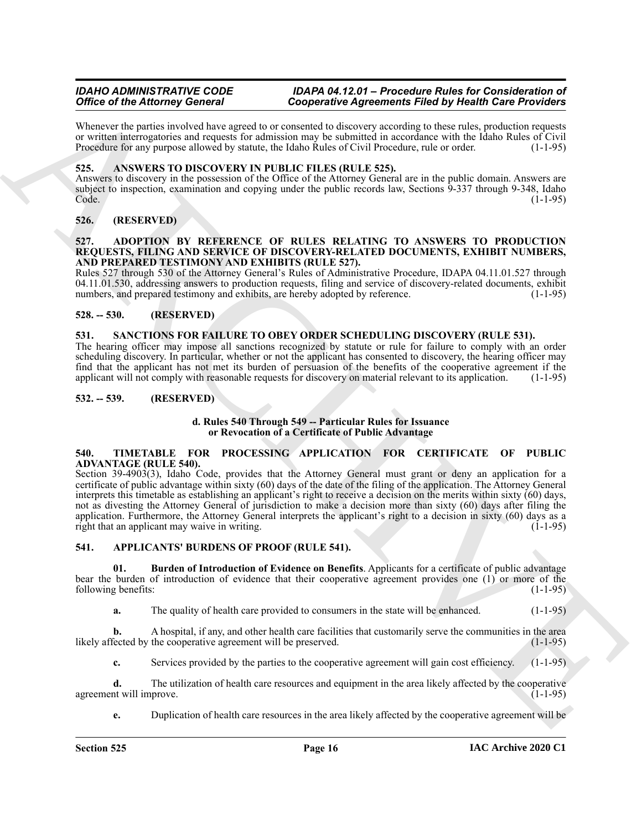Whenever the parties involved have agreed to or consented to discovery according to these rules, production requests or written interrogatories and requests for admission may be submitted in accordance with the Idaho Rules of Civil Procedure for any purpose allowed by statute, the Idaho Rules of Civil Procedure, rule or order. (1-1-95)

# <span id="page-15-9"></span><span id="page-15-0"></span>**525. ANSWERS TO DISCOVERY IN PUBLIC FILES (RULE 525).**

Answers to discovery in the possession of the Office of the Attorney General are in the public domain. Answers are subject to inspection, examination and copying under the public records law, Sections 9-337 through 9-348, Idaho Code. (1-1-95)

# <span id="page-15-1"></span>**526. (RESERVED)**

#### <span id="page-15-8"></span><span id="page-15-2"></span>**527. ADOPTION BY REFERENCE OF RULES RELATING TO ANSWERS TO PRODUCTION REQUESTS, FILING AND SERVICE OF DISCOVERY-RELATED DOCUMENTS, EXHIBIT NUMBERS, AND PREPARED TESTIMONY AND EXHIBITS (RULE 527).**

Rules 527 through 530 of the Attorney General's Rules of Administrative Procedure, IDAPA 04.11.01.527 through 04.11.01.530, addressing answers to production requests, filing and service of discovery-related documents, exhibit numbers, and prepared testimony and exhibits, are hereby adopted by reference. (1-1-95) numbers, and prepared testimony and exhibits, are hereby adopted by reference.

# <span id="page-15-3"></span>**528. -- 530. (RESERVED)**

# <span id="page-15-12"></span><span id="page-15-4"></span>**531. SANCTIONS FOR FAILURE TO OBEY ORDER SCHEDULING DISCOVERY (RULE 531).**

The hearing officer may impose all sanctions recognized by statute or rule for failure to comply with an order scheduling discovery. In particular, whether or not the applicant has consented to discovery, the hearing officer may find that the applicant has not met its burden of persuasion of the benefits of the cooperative agreement if the applicant will not comply with reasonable requests for discovery on material relevant to its application. (1-1-95)

# <span id="page-15-5"></span>**532. -- 539. (RESERVED)**

#### **d. Rules 540 Through 549 -- Particular Rules for Issuance or Revocation of a Certificate of Public Advantage**

#### <span id="page-15-13"></span><span id="page-15-6"></span>**540. TIMETABLE FOR PROCESSING APPLICATION FOR CERTIFICATE OF PUBLIC ADVANTAGE (RULE 540).**

Office of the Altimore School and Temperature and Conservation Field by Reference in the state of the Altimore Conservation Conservation Conservation Conservation Conservation Conservation Conservation Conservation Conser Section 39-4903(3), Idaho Code, provides that the Attorney General must grant or deny an application for a certificate of public advantage within sixty (60) days of the date of the filing of the application. The Attorney General interprets this timetable as establishing an applicant's right to receive a decision on the merits within sixty (60) days, not as divesting the Attorney General of jurisdiction to make a decision more than sixty (60) days after filing the application. Furthermore, the Attorney General interprets the applicant's right to a decision in sixty (60) days as a right that an applicant may waive in writing. right that an applicant may waive in writing.

# <span id="page-15-10"></span><span id="page-15-7"></span>**541. APPLICANTS' BURDENS OF PROOF (RULE 541).**

**01. Burden of Introduction of Evidence on Benefits**. Applicants for a certificate of public advantage bear the burden of introduction of evidence that their cooperative agreement provides one (1) or more of the following benefits: (1-1-95)

<span id="page-15-11"></span>**a.** The quality of health care provided to consumers in the state will be enhanced. (1-1-95)

**b.** A hospital, if any, and other health care facilities that customarily serve the communities in the area fected by the cooperative agreement will be preserved. (1-1-95) likely affected by the cooperative agreement will be preserved.

**c.** Services provided by the parties to the cooperative agreement will gain cost efficiency. (1-1-95)

**d.** The utilization of health care resources and equipment in the area likely affected by the cooperative agreement will improve. (1-1-95)

**e.** Duplication of health care resources in the area likely affected by the cooperative agreement will be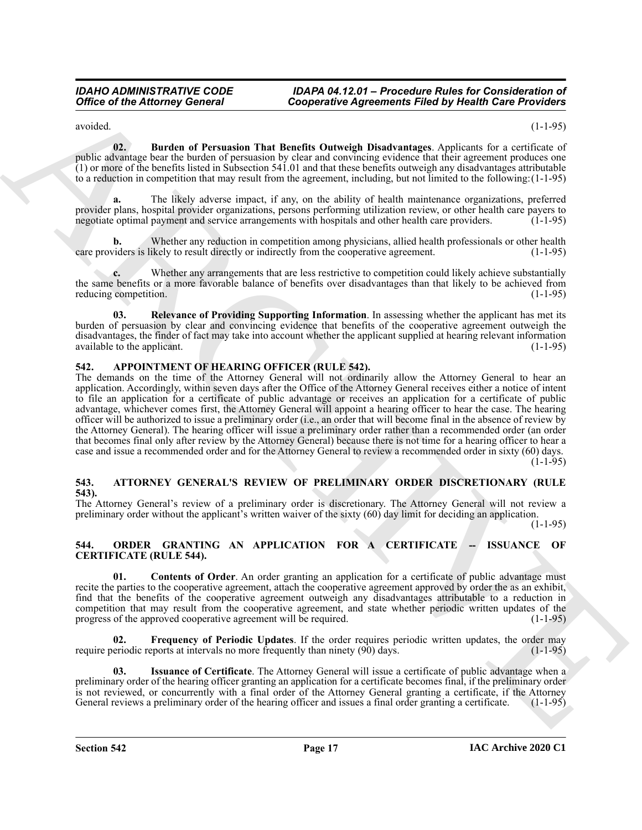<span id="page-16-3"></span>avoided. (1-1-95)

**02. Burden of Persuasion That Benefits Outweigh Disadvantages**. Applicants for a certificate of public advantage bear the burden of persuasion by clear and convincing evidence that their agreement produces one (1) or more of the benefits listed in Subsection 541.01 and that these benefits outweigh any disadvantages attributable to a reduction in competition that may result from the agreement, including, but not limited to the following:(1-1-95)

**a.** The likely adverse impact, if any, on the ability of health maintenance organizations, preferred provider plans, hospital provider organizations, persons performing utilization review, or other health care payers to negotiate optimal payment and service arrangements with hospitals and other health care providers. (1-1-95)

Whether any reduction in competition among physicians, allied health professionals or other health ikely to result directly or indirectly from the cooperative agreement. (1-1-95) care providers is likely to result directly or indirectly from the cooperative agreement.

**c.** Whether any arrangements that are less restrictive to competition could likely achieve substantially the same benefits or a more favorable balance of benefits over disadvantages than that likely to be achieved from reducing competition. (1-1-95) reducing competition.

<span id="page-16-4"></span>**03. Relevance of Providing Supporting Information**. In assessing whether the applicant has met its burden of persuasion by clear and convincing evidence that benefits of the cooperative agreement outweigh the disadvantages, the finder of fact may take into account whether the applicant supplied at hearing relevant information available to the applicant.  $(1-1-95)$ 

# <span id="page-16-5"></span><span id="page-16-0"></span>**542. APPOINTMENT OF HEARING OFFICER (RULE 542).**

Office of the Attorney General<br>
Conjecture Agreements Filed by Health Case Provider<br>
The Attorney General<br>
The Attorney Constant Case Provider and the Attorney Development and the Attorney Constant Case Provider and<br>
The The demands on the time of the Attorney General will not ordinarily allow the Attorney General to hear an application. Accordingly, within seven days after the Office of the Attorney General receives either a notice of intent to file an application for a certificate of public advantage or receives an application for a certificate of public advantage, whichever comes first, the Attorney General will appoint a hearing officer to hear the case. The hearing officer will be authorized to issue a preliminary order (i.e., an order that will become final in the absence of review by the Attorney General). The hearing officer will issue a preliminary order rather than a recommended order (an order that becomes final only after review by the Attorney General) because there is not time for a hearing officer to hear a case and issue a recommended order and for the Attorney General to review a recommended order in sixty (60) days. (1-1-95)

# <span id="page-16-6"></span><span id="page-16-1"></span>**543. ATTORNEY GENERAL'S REVIEW OF PRELIMINARY ORDER DISCRETIONARY (RULE 543).**

The Attorney General's review of a preliminary order is discretionary. The Attorney General will not review a preliminary order without the applicant's written waiver of the sixty (60) day limit for deciding an application.

(1-1-95)

# <span id="page-16-7"></span><span id="page-16-2"></span>**544. ORDER GRANTING AN APPLICATION FOR A CERTIFICATE -- ISSUANCE OF CERTIFICATE (RULE 544).**

<span id="page-16-8"></span>**01. Contents of Order**. An order granting an application for a certificate of public advantage must recite the parties to the cooperative agreement, attach the cooperative agreement approved by order the as an exhibit, find that the benefits of the cooperative agreement outweigh any disadvantages attributable to a reduction in competition that may result from the cooperative agreement, and state whether periodic written updates of the progress of the approved cooperative agreement will be required.  $(1-1-95)$ 

<span id="page-16-9"></span>**02. Frequency of Periodic Updates**. If the order requires periodic written updates, the order may require periodic reports at intervals no more frequently than ninety (90) days. (1-1-95)

<span id="page-16-10"></span>**03. Issuance of Certificate**. The Attorney General will issue a certificate of public advantage when a preliminary order of the hearing officer granting an application for a certificate becomes final, if the preliminary order is not reviewed, or concurrently with a final order of the Attorney General granting a certificate, if the Attorney General reviews a preliminary order of the hearing officer and issues a final order granting a certificate. (1-1-95)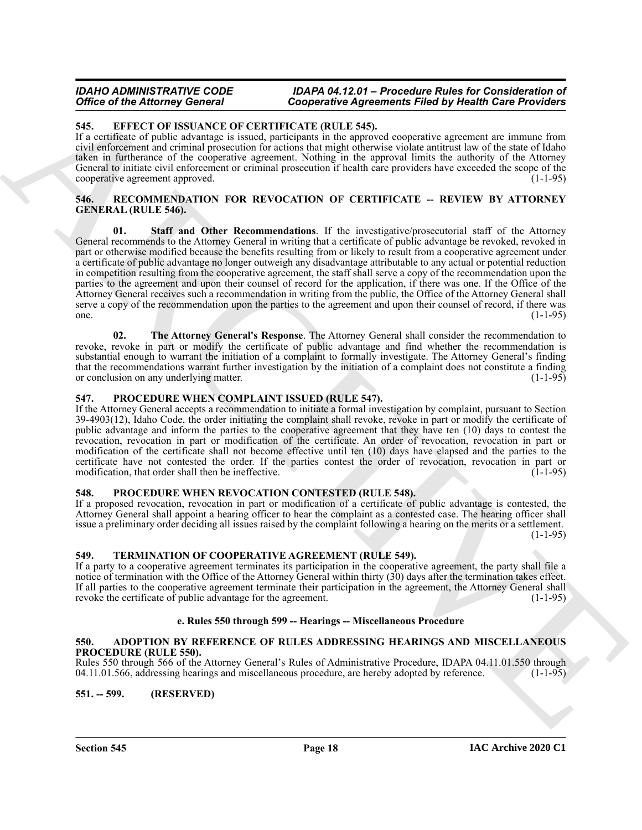# <span id="page-17-8"></span><span id="page-17-0"></span>**545. EFFECT OF ISSUANCE OF CERTIFICATE (RULE 545).**

If a certificate of public advantage is issued, participants in the approved cooperative agreement are immune from civil enforcement and criminal prosecution for actions that might otherwise violate antitrust law of the state of Idaho taken in furtherance of the cooperative agreement. Nothing in the approval limits the authority of the Attorney General to initiate civil enforcement or criminal prosecution if health care providers have exceeded the scope of the cooperative agreement approved. (1-1-95)

# <span id="page-17-12"></span><span id="page-17-11"></span><span id="page-17-1"></span>**546. RECOMMENDATION FOR REVOCATION OF CERTIFICATE -- REVIEW BY ATTORNEY GENERAL (RULE 546).**

Office of the Africane Georgia Constrainer (Copyright)  $\alpha$  Experiments Filed by Health Case Providers<br>
14. EVIDENT CONTRACT OF EXCREMENTAL ARCHIVECTS (NULL SES)<br>
14. Constitution of the African Constrainer Constrainer (N **01. Staff and Other Recommendations**. If the investigative/prosecutorial staff of the Attorney General recommends to the Attorney General in writing that a certificate of public advantage be revoked, revoked in part or otherwise modified because the benefits resulting from or likely to result from a cooperative agreement under a certificate of public advantage no longer outweigh any disadvantage attributable to any actual or potential reduction in competition resulting from the cooperative agreement, the staff shall serve a copy of the recommendation upon the parties to the agreement and upon their counsel of record for the application, if there was one. If the Office of the Attorney General receives such a recommendation in writing from the public, the Office of the Attorney General shall serve a copy of the recommendation upon the parties to the agreement and upon their counsel of record, if there was one.  $(1-1-95)$ 

<span id="page-17-13"></span>**02. The Attorney General's Response**. The Attorney General shall consider the recommendation to revoke, revoke in part or modify the certificate of public advantage and find whether the recommendation is substantial enough to warrant the initiation of a complaint to formally investigate. The Attorney General's finding that the recommendations warrant further investigation by the initiation of a complaint does not constitute a finding or conclusion on any underlying matter. (1-1-95)

# <span id="page-17-9"></span><span id="page-17-2"></span>**547. PROCEDURE WHEN COMPLAINT ISSUED (RULE 547).**

If the Attorney General accepts a recommendation to initiate a formal investigation by complaint, pursuant to Section 39-4903(12), Idaho Code, the order initiating the complaint shall revoke, revoke in part or modify the certificate of public advantage and inform the parties to the cooperative agreement that they have ten (10) days to contest the revocation, revocation in part or modification of the certificate. An order of revocation, revocation in part or modification of the certificate shall not become effective until ten (10) days have elapsed and the parties to the certificate have not contested the order. If the parties contest the order of revocation, revocation in part or modification, that order shall then be ineffective. (1-1-95) (1-1-95)

# <span id="page-17-10"></span><span id="page-17-3"></span>**548. PROCEDURE WHEN REVOCATION CONTESTED (RULE 548).**

If a proposed revocation, revocation in part or modification of a certificate of public advantage is contested, the Attorney General shall appoint a hearing officer to hear the complaint as a contested case. The hearing officer shall issue a preliminary order deciding all issues raised by the complaint following a hearing on the merits or a settlement.  $(1-1-95)$ 

# <span id="page-17-14"></span><span id="page-17-4"></span>**549. TERMINATION OF COOPERATIVE AGREEMENT (RULE 549).**

If a party to a cooperative agreement terminates its participation in the cooperative agreement, the party shall file a notice of termination with the Office of the Attorney General within thirty (30) days after the termination takes effect. If all parties to the cooperative agreement terminate their participation in the agreement, the Attorney General shall revoke the certificate of public advantage for the agreement.

# **e. Rules 550 through 599 -- Hearings -- Miscellaneous Procedure**

#### <span id="page-17-7"></span><span id="page-17-5"></span>**550. ADOPTION BY REFERENCE OF RULES ADDRESSING HEARINGS AND MISCELLANEOUS PROCEDURE (RULE 550).**

Rules 550 through 566 of the Attorney General's Rules of Administrative Procedure, IDAPA 04.11.01.550 through 04.11.01.566, addressing hearings and miscellaneous procedure, are hereby adopted by reference. (1-1-95) 04.11.01.566, addressing hearings and miscellaneous procedure, are hereby adopted by reference.

# <span id="page-17-6"></span>**551. -- 599. (RESERVED)**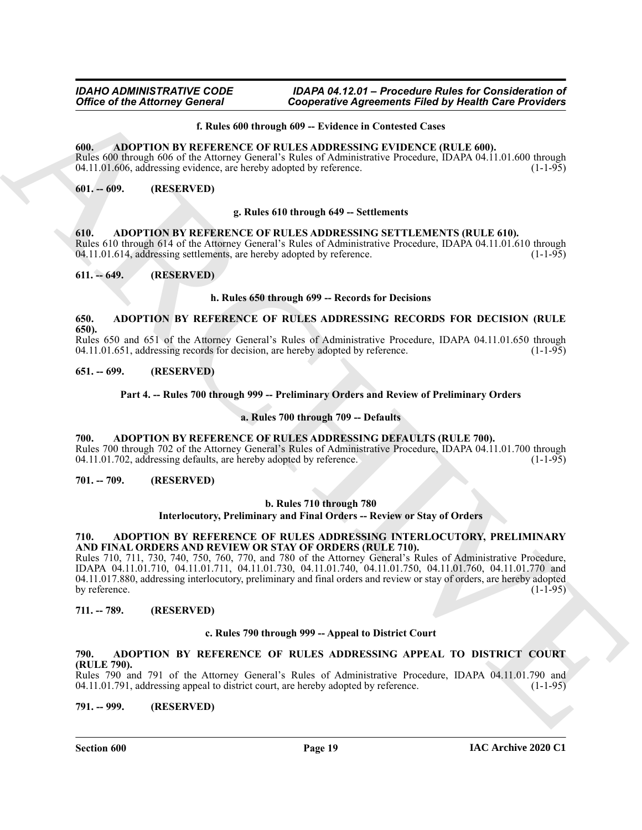#### **f. Rules 600 through 609 -- Evidence in Contested Cases**

#### <span id="page-18-14"></span><span id="page-18-0"></span>**600. ADOPTION BY REFERENCE OF RULES ADDRESSING EVIDENCE (RULE 600).**

Rules 600 through 606 of the Attorney General's Rules of Administrative Procedure, IDAPA 04.11.01.600 through 04.11.01.606, addressing evidence, are hereby adopted by reference. (1-1-95) 04.11.01.606, addressing evidence, are hereby adopted by reference.

# <span id="page-18-1"></span>**601. -- 609. (RESERVED)**

#### **g. Rules 610 through 649 -- Settlements**

<span id="page-18-17"></span><span id="page-18-2"></span>**610. ADOPTION BY REFERENCE OF RULES ADDRESSING SETTLEMENTS (RULE 610).** Rules 610 through 614 of the Attorney General's Rules of Administrative Procedure, IDAPA 04.11.01.610 through 04.11.01.614, addressing settlements, are hereby adopted by reference. (1-1-95)

# <span id="page-18-3"></span>**611. -- 649. (RESERVED)**

#### **h. Rules 650 through 699 -- Records for Decisions**

#### <span id="page-18-16"></span><span id="page-18-4"></span>**650. ADOPTION BY REFERENCE OF RULES ADDRESSING RECORDS FOR DECISION (RULE 650).**

Rules 650 and 651 of the Attorney General's Rules of Administrative Procedure, IDAPA 04.11.01.650 through 04.11.01.651, addressing records for decision, are hereby adopted by reference. (1-1-95)

#### <span id="page-18-5"></span>**651. -- 699. (RESERVED)**

#### <span id="page-18-13"></span>**Part 4. -- Rules 700 through 999 -- Preliminary Orders and Review of Preliminary Orders**

#### **a. Rules 700 through 709 -- Defaults**

#### <span id="page-18-6"></span>**700. ADOPTION BY REFERENCE OF RULES ADDRESSING DEFAULTS (RULE 700).**

Rules 700 through 702 of the Attorney General's Rules of Administrative Procedure, IDAPA 04.11.01.700 through 04.11.01.700 through 04.11.01.702, addressing defaults, are hereby adopted by reference. 04.11.01.702, addressing defaults, are hereby adopted by reference.

<span id="page-18-7"></span>**701. -- 709. (RESERVED)**

#### **b. Rules 710 through 780**

**Interlocutory, Preliminary and Final Orders -- Review or Stay of Orders**

#### <span id="page-18-15"></span><span id="page-18-8"></span>**710. ADOPTION BY REFERENCE OF RULES ADDRESSING INTERLOCUTORY, PRELIMINARY AND FINAL ORDERS AND REVIEW OR STAY OF ORDERS (RULE 710).**

Office of the Attorney General<br>
Conjectures Agreements Filed by Health and Society and Society and Society and Society and Society and Society and Society and Society and Society and Society and Society and Society and So Rules 710, 711, 730, 740, 750, 760, 770, and 780 of the Attorney General's Rules of Administrative Procedure, IDAPA 04.11.01.710, 04.11.01.711, 04.11.01.730, 04.11.01.740, 04.11.01.750, 04.11.01.760, 04.11.01.770 and 04.11.017.880, addressing interlocutory, preliminary and final orders and review or stay of orders, are hereby adopted by reference. (1-1-95)

#### <span id="page-18-9"></span>**711. -- 789. (RESERVED)**

#### **c. Rules 790 through 999 -- Appeal to District Court**

# <span id="page-18-12"></span><span id="page-18-10"></span>**790. ADOPTION BY REFERENCE OF RULES ADDRESSING APPEAL TO DISTRICT COURT (RULE 790).**

Rules 790 and 791 of the Attorney General's Rules of Administrative Procedure, IDAPA 04.11.01.790 and 04.11.01.791, addressing appeal to district court, are hereby adopted by reference. (1-1-95) 04.11.01.791, addressing appeal to district court, are hereby adopted by reference.

#### <span id="page-18-11"></span>**791. -- 999. (RESERVED)**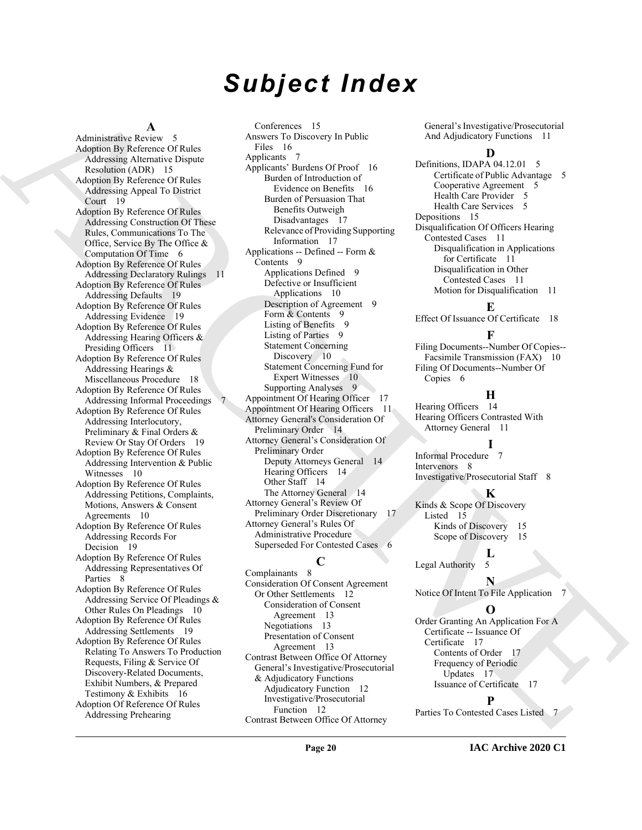# *Subject Index*

#### **A**

A distinction of the control of the control of the control of the control of the control of the control of the control of the control of the control of the control of the control of the control of the control of the contr Administrative Review 5 Adoption By Reference Of Rules Addressing Alternative Dispute Resolution (ADR) 15 Adoption By Reference Of Rules Addressing Appeal To District Court 19 Adoption By Reference Of Rules Addressing Construction Of These Rules, Communications To The Office, Service By The Office & Computation Of Time 6 Adoption By Reference Of Rules Addressing Declaratory Rulings 11 Adoption By Reference Of Rules Addressing Defaults 19 Adoption By Reference Of Rules Addressing Evidence 19 Adoption By Reference Of Rules Addressing Hearing Officers & Presiding Officers 11 Adoption By Reference Of Rules Addressing Hearings & Miscellaneous Procedure 18 Adoption By Reference Of Rules Addressing Informal Proceedings 7 Adoption By Reference Of Rules Addressing Interlocutory, Preliminary & Final Orders & Review Or Stay Of Orders 19 Adoption By Reference Of Rules Addressing Intervention & Public Witnesses 10 Adoption By Reference Of Rules Addressing Petitions, Complaints, Motions, Answers & Consent Agreements 10 Adoption By Reference Of Rules Addressing Records For Decision 19 Adoption By Reference Of Rules Addressing Representatives Of Parties 8 Adoption By Reference Of Rules Addressing Service Of Pleadings & Other Rules On Pleadings 10 Adoption By Reference Of Rules Addressing Settlements 19 Adoption By Reference Of Rules Relating To Answers To Production Requests, Filing & Service Of Discovery-Related Documents, Exhibit Numbers, & Prepared Testimony & Exhibits 16 Adoption Of Reference Of Rules Addressing Prehearing

Conferences 15 Answers To Discovery In Public Files 16 Applicants 7 Applicants' Burdens Of Proof 16 Burden of Introduction of Evidence on Benefits 16 Burden of Persuasion That Benefits Outweigh Disadvantages 17 Relevance of Providing Supporting Information 17 Applications -- Defined -- Form & Contents 9 Applications Defined 9 Defective or Insufficient Applications 10 Description of Agreement 9 Form & Contents 9 Listing of Benefits 9 Listing of Parties 9 Statement Concerning Discovery 10 Statement Concerning Fund for Expert Witnesses 10 Supporting Analyses 9 Appointment Of Hearing Officer 17 Appointment Of Hearing Officers 11 Attorney General's Consideration Of Preliminary Order 14 Attorney General's Consideration Of Preliminary Order Deputy Attorneys General 14 Hearing Officers 14 Other Staff 14 The Attorney General 14 Attorney General's Review Of Preliminary Order Discretionary 17 Attorney General's Rules Of Administrative Procedure Superseded For Contested Cases 6

# **C**

Complainants 8 Consideration Of Consent Agreement Or Other Settlements 12 Consideration of Consent Agreement 13 Negotiations 13 Presentation of Consent Agreement 13 Contrast Between Office Of Attorney General's Investigative/Prosecutorial & Adjudicatory Functions Adjudicatory Function 12 Investigative/Prosecutorial Function 12 Contrast Between Office Of Attorney

General's Investigative/Prosecutorial And Adjudicatory Functions 11

#### **D**

Definitions, IDAPA 04.12.01 5 Certificate of Public Advantage 5 Cooperative Agreement 5 Health Care Provider 5 Health Care Services 5 Depositions 15 Disqualification Of Officers Hearing Contested Cases 11 Disqualification in Applications for Certificate 11 Disqualification in Other Contested Cases 11 Motion for Disqualification 11

# **E**

Effect Of Issuance Of Certificate 18

# **F**

Filing Documents--Number Of Copies-- Facsimile Transmission (FAX) 10 Filing Of Documents--Number Of Copies 6

#### **H**

Hearing Officers 14 Hearing Officers Contrasted With Attorney General 11

# **I**

Informal Procedure 7 Intervenors 8 Investigative/Prosecutorial Staff 8

#### **K**

Kinds & Scope Of Discovery Listed 15 Kinds of Discovery 15

Scope of Discovery 15

 $\frac{L}{5}$ Legal Authority

**N** Notice Of Intent To File Application 7

# **O**

Order Granting An Application For A Certificate -- Issuance Of Certificate 17 Contents of Order 17 Frequency of Periodic Updates 17 Issuance of Certificate 17

# **P**

Parties To Contested Cases Listed 7